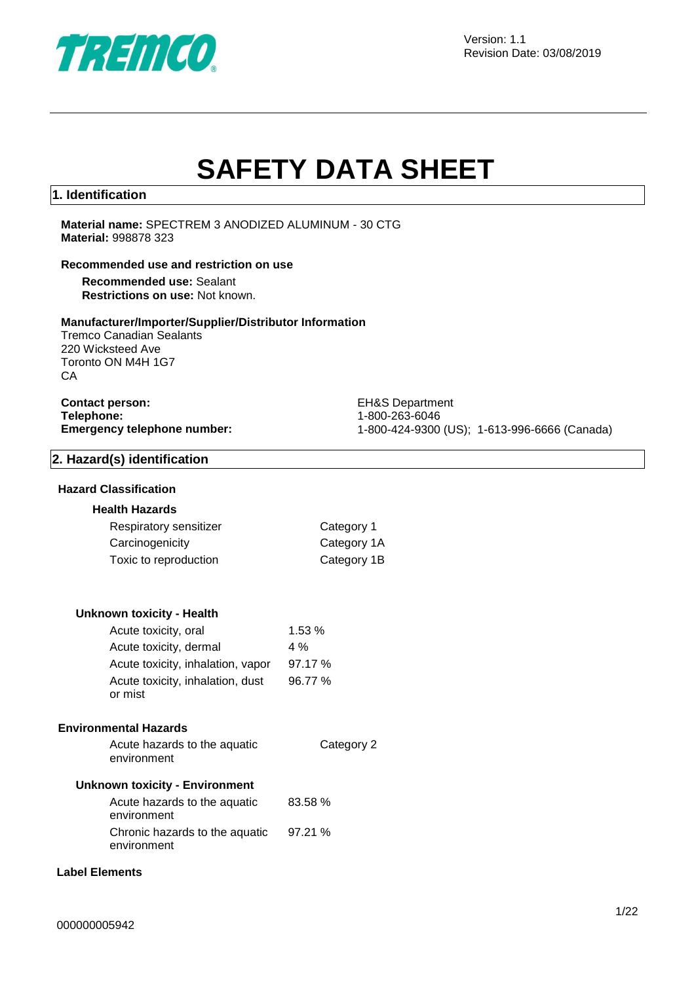

# **SAFETY DATA SHEET**

#### **1. Identification**

**Material name:** SPECTREM 3 ANODIZED ALUMINUM - 30 CTG **Material:** 998878 323

#### **Recommended use and restriction on use**

**Recommended use:** Sealant **Restrictions on use:** Not known.

#### **Manufacturer/Importer/Supplier/Distributor Information**

Tremco Canadian Sealants 220 Wicksteed Ave Toronto ON M4H 1G7 CA

## **Contact person:** EH&S Department **Telephone:** 1-800-263-6046<br> **Emergency telephone number:** 1-800-424-9300

**Emergency telephone number:** 1-800-424-9300 (US); 1-613-996-6666 (Canada)

#### **2. Hazard(s) identification**

#### **Hazard Classification**

#### **Health Hazards**

| Respiratory sensitizer | Category 1  |
|------------------------|-------------|
| Carcinogenicity        | Category 1A |
| Toxic to reproduction  | Category 1B |

#### **Unknown toxicity - Health**

| Acute toxicity, oral                        | 1.53%   |
|---------------------------------------------|---------|
| Acute toxicity, dermal                      | $4\%$   |
| Acute toxicity, inhalation, vapor           | 97.17%  |
| Acute toxicity, inhalation, dust<br>or mist | 96.77 % |

#### **Environmental Hazards**

Acute hazards to the aquatic environment Category 2

#### **Unknown toxicity - Environment**

| Acute hazards to the aquatic<br>environment   | 83.58 % |
|-----------------------------------------------|---------|
| Chronic hazards to the aquatic<br>environment | 97.21%  |

#### **Label Elements**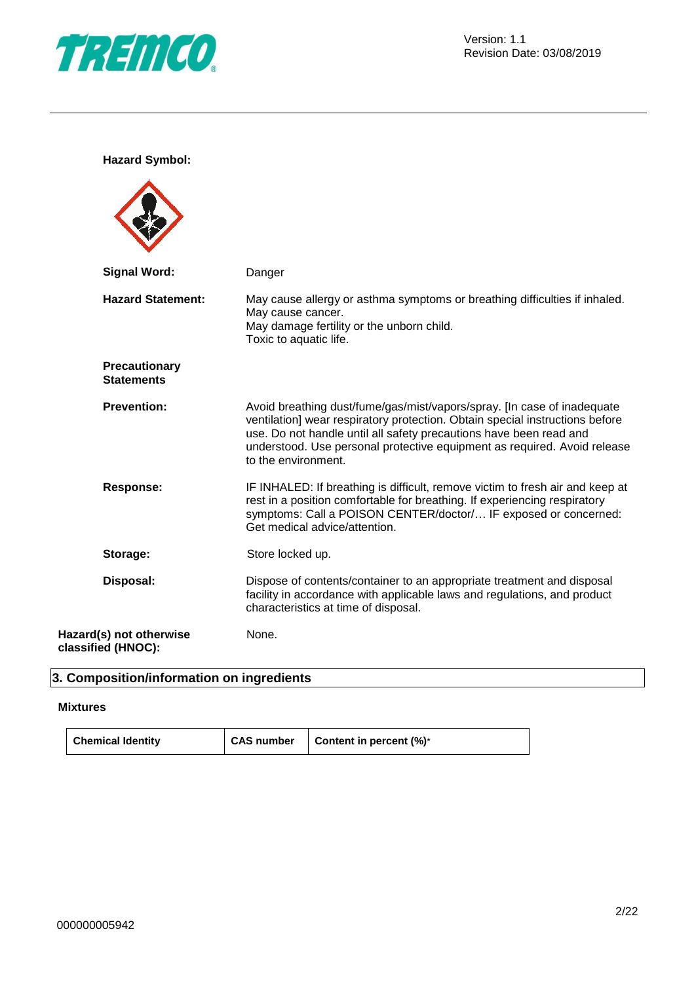

**Hazard Symbol:**

| <b>Signal Word:</b>                           | Danger                                                                                                                                                                                                                                                                                                                           |
|-----------------------------------------------|----------------------------------------------------------------------------------------------------------------------------------------------------------------------------------------------------------------------------------------------------------------------------------------------------------------------------------|
| <b>Hazard Statement:</b>                      | May cause allergy or asthma symptoms or breathing difficulties if inhaled.<br>May cause cancer.<br>May damage fertility or the unborn child.<br>Toxic to aquatic life.                                                                                                                                                           |
| <b>Precautionary</b><br><b>Statements</b>     |                                                                                                                                                                                                                                                                                                                                  |
| <b>Prevention:</b>                            | Avoid breathing dust/fume/gas/mist/vapors/spray. [In case of inadequate<br>ventilation] wear respiratory protection. Obtain special instructions before<br>use. Do not handle until all safety precautions have been read and<br>understood. Use personal protective equipment as required. Avoid release<br>to the environment. |
| <b>Response:</b>                              | IF INHALED: If breathing is difficult, remove victim to fresh air and keep at<br>rest in a position comfortable for breathing. If experiencing respiratory<br>symptoms: Call a POISON CENTER/doctor/ IF exposed or concerned:<br>Get medical advice/attention.                                                                   |
| Storage:                                      | Store locked up.                                                                                                                                                                                                                                                                                                                 |
| Disposal:                                     | Dispose of contents/container to an appropriate treatment and disposal<br>facility in accordance with applicable laws and regulations, and product<br>characteristics at time of disposal.                                                                                                                                       |
| Hazard(s) not otherwise<br>classified (HNOC): | None.                                                                                                                                                                                                                                                                                                                            |

## **3. Composition/information on ingredients**

#### **Mixtures**

| <b>Chemical Identity</b> | CAS number | <b>Content in percent <math>(\%)^*</math></b> |
|--------------------------|------------|-----------------------------------------------|
|--------------------------|------------|-----------------------------------------------|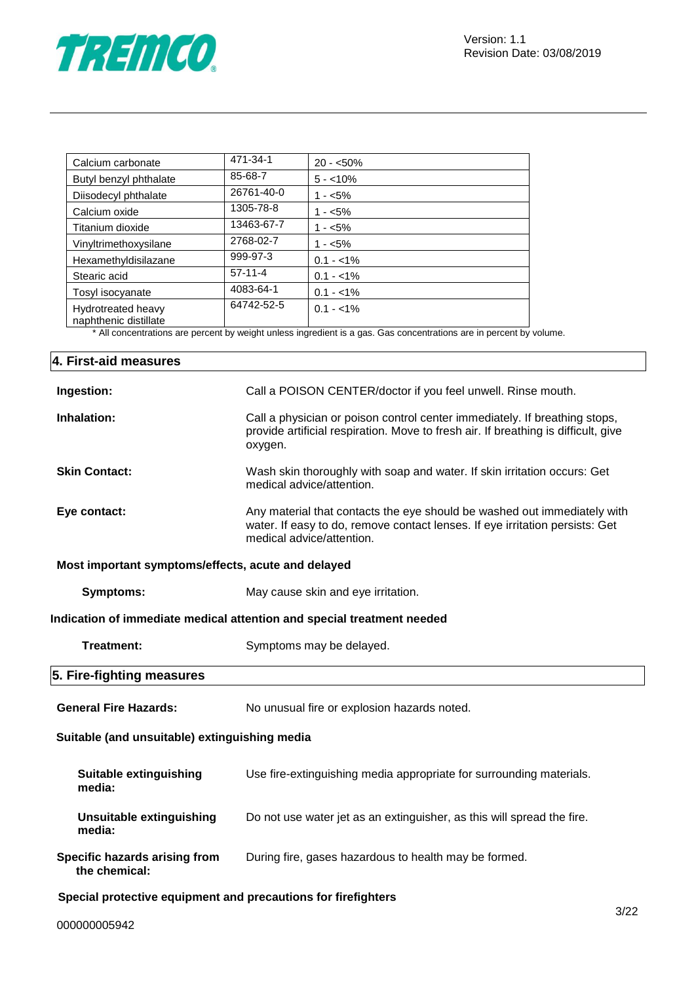

| Calcium carbonate                           | 471-34-1   | $20 - 50\%$ |
|---------------------------------------------|------------|-------------|
| Butyl benzyl phthalate                      | 85-68-7    | $5 - 10\%$  |
| Diisodecyl phthalate                        | 26761-40-0 | $1 - 5\%$   |
| Calcium oxide                               | 1305-78-8  | $1 - 5%$    |
| Titanium dioxide                            | 13463-67-7 | $1 - 5%$    |
| Vinyltrimethoxysilane                       | 2768-02-7  | $1 - 5\%$   |
| Hexamethyldisilazane                        | 999-97-3   | $0.1 - 1\%$ |
| Stearic acid                                | $57-11-4$  | $0.1 - 1\%$ |
| Tosyl isocyanate                            | 4083-64-1  | $0.1 - 1\%$ |
| Hydrotreated heavy<br>naphthenic distillate | 64742-52-5 | $0.1 - 1\%$ |

\* All concentrations are percent by weight unless ingredient is a gas. Gas concentrations are in percent by volume.

| 4. First-aid measures                                         |                                                                                                                                                                                       |
|---------------------------------------------------------------|---------------------------------------------------------------------------------------------------------------------------------------------------------------------------------------|
| Ingestion:                                                    | Call a POISON CENTER/doctor if you feel unwell. Rinse mouth.                                                                                                                          |
| Inhalation:                                                   | Call a physician or poison control center immediately. If breathing stops,<br>provide artificial respiration. Move to fresh air. If breathing is difficult, give<br>oxygen.           |
| <b>Skin Contact:</b>                                          | Wash skin thoroughly with soap and water. If skin irritation occurs: Get<br>medical advice/attention.                                                                                 |
| Eye contact:                                                  | Any material that contacts the eye should be washed out immediately with<br>water. If easy to do, remove contact lenses. If eye irritation persists: Get<br>medical advice/attention. |
| Most important symptoms/effects, acute and delayed            |                                                                                                                                                                                       |
| <b>Symptoms:</b>                                              | May cause skin and eye irritation.                                                                                                                                                    |
|                                                               | Indication of immediate medical attention and special treatment needed                                                                                                                |
| <b>Treatment:</b>                                             | Symptoms may be delayed.                                                                                                                                                              |
| 5. Fire-fighting measures                                     |                                                                                                                                                                                       |
| <b>General Fire Hazards:</b>                                  | No unusual fire or explosion hazards noted.                                                                                                                                           |
| Suitable (and unsuitable) extinguishing media                 |                                                                                                                                                                                       |
| <b>Suitable extinguishing</b><br>media:                       | Use fire-extinguishing media appropriate for surrounding materials.                                                                                                                   |
| <b>Unsuitable extinguishing</b><br>media:                     | Do not use water jet as an extinguisher, as this will spread the fire.                                                                                                                |
| Specific hazards arising from<br>the chemical:                | During fire, gases hazardous to health may be formed.                                                                                                                                 |
| Special protective equipment and precautions for firefighters |                                                                                                                                                                                       |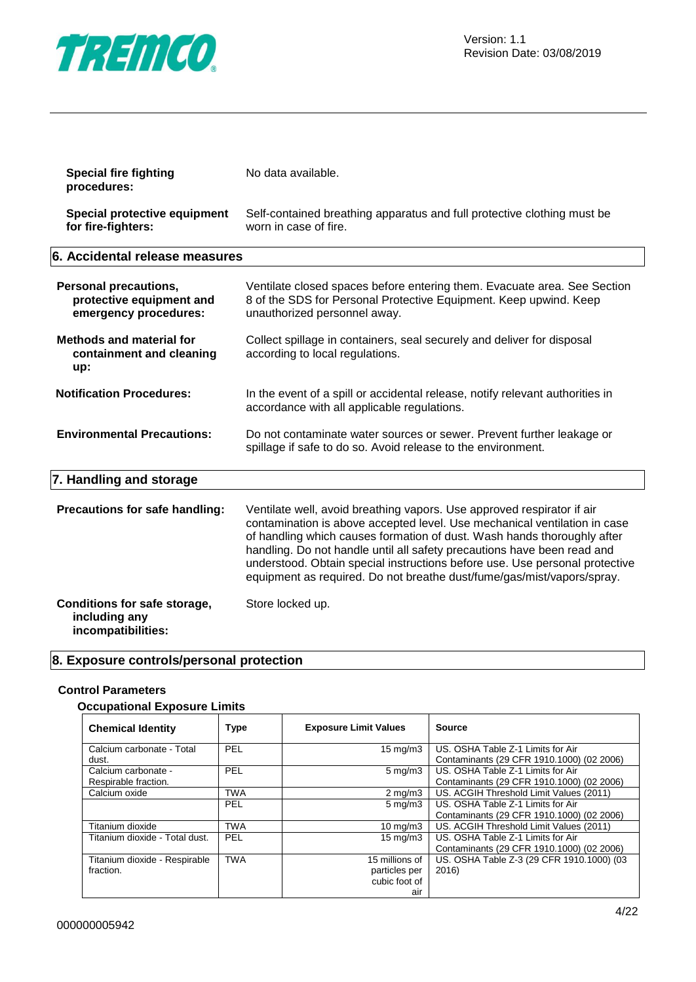

| <b>Special fire fighting</b><br>procedures:                                       | No data available.                                                                                                                                                                                                                                                                                                                                                                                                                                                 |
|-----------------------------------------------------------------------------------|--------------------------------------------------------------------------------------------------------------------------------------------------------------------------------------------------------------------------------------------------------------------------------------------------------------------------------------------------------------------------------------------------------------------------------------------------------------------|
| Special protective equipment<br>for fire-fighters:                                | Self-contained breathing apparatus and full protective clothing must be<br>worn in case of fire.                                                                                                                                                                                                                                                                                                                                                                   |
| 6. Accidental release measures                                                    |                                                                                                                                                                                                                                                                                                                                                                                                                                                                    |
| <b>Personal precautions,</b><br>protective equipment and<br>emergency procedures: | Ventilate closed spaces before entering them. Evacuate area. See Section<br>8 of the SDS for Personal Protective Equipment. Keep upwind. Keep<br>unauthorized personnel away.                                                                                                                                                                                                                                                                                      |
| <b>Methods and material for</b><br>containment and cleaning<br>up:                | Collect spillage in containers, seal securely and deliver for disposal<br>according to local regulations.                                                                                                                                                                                                                                                                                                                                                          |
| <b>Notification Procedures:</b>                                                   | In the event of a spill or accidental release, notify relevant authorities in<br>accordance with all applicable regulations.                                                                                                                                                                                                                                                                                                                                       |
| <b>Environmental Precautions:</b>                                                 | Do not contaminate water sources or sewer. Prevent further leakage or<br>spillage if safe to do so. Avoid release to the environment.                                                                                                                                                                                                                                                                                                                              |
| 7. Handling and storage                                                           |                                                                                                                                                                                                                                                                                                                                                                                                                                                                    |
| Precautions for safe handling:                                                    | Ventilate well, avoid breathing vapors. Use approved respirator if air<br>contamination is above accepted level. Use mechanical ventilation in case<br>of handling which causes formation of dust. Wash hands thoroughly after<br>handling. Do not handle until all safety precautions have been read and<br>understood. Obtain special instructions before use. Use personal protective<br>equipment as required. Do not breathe dust/fume/gas/mist/vapors/spray. |
| Conditions for safe storage,<br>including any<br>incompatibilities:               | Store locked up.                                                                                                                                                                                                                                                                                                                                                                                                                                                   |

## **8. Exposure controls/personal protection**

#### **Control Parameters**

#### **Occupational Exposure Limits**

| <b>Chemical Identity</b>                    | <b>Type</b> | <b>Exposure Limit Values</b>                            | <b>Source</b>                                                                  |
|---------------------------------------------|-------------|---------------------------------------------------------|--------------------------------------------------------------------------------|
| Calcium carbonate - Total<br>dust.          | <b>PEL</b>  | $15 \text{ mg/m}$                                       | US. OSHA Table Z-1 Limits for Air<br>Contaminants (29 CFR 1910.1000) (02 2006) |
| Calcium carbonate -<br>Respirable fraction. | PEL         | $5 \text{ mg/m}$ 3                                      | US. OSHA Table Z-1 Limits for Air<br>Contaminants (29 CFR 1910.1000) (02 2006) |
| Calcium oxide                               | <b>TWA</b>  | $2 \text{ mg/m}$                                        | US. ACGIH Threshold Limit Values (2011)                                        |
|                                             | <b>PEL</b>  | $5 \text{ mg/m}$                                        | US. OSHA Table Z-1 Limits for Air<br>Contaminants (29 CFR 1910.1000) (02 2006) |
| Titanium dioxide                            | <b>TWA</b>  | $10 \text{ mg/m}$                                       | US. ACGIH Threshold Limit Values (2011)                                        |
| Titanium dioxide - Total dust.              | <b>PEL</b>  | $15 \text{ mg/m}$                                       | US. OSHA Table Z-1 Limits for Air<br>Contaminants (29 CFR 1910.1000) (02 2006) |
| Titanium dioxide - Respirable<br>fraction.  | <b>TWA</b>  | 15 millions of<br>particles per<br>cubic foot of<br>air | US. OSHA Table Z-3 (29 CFR 1910.1000) (03<br>2016)                             |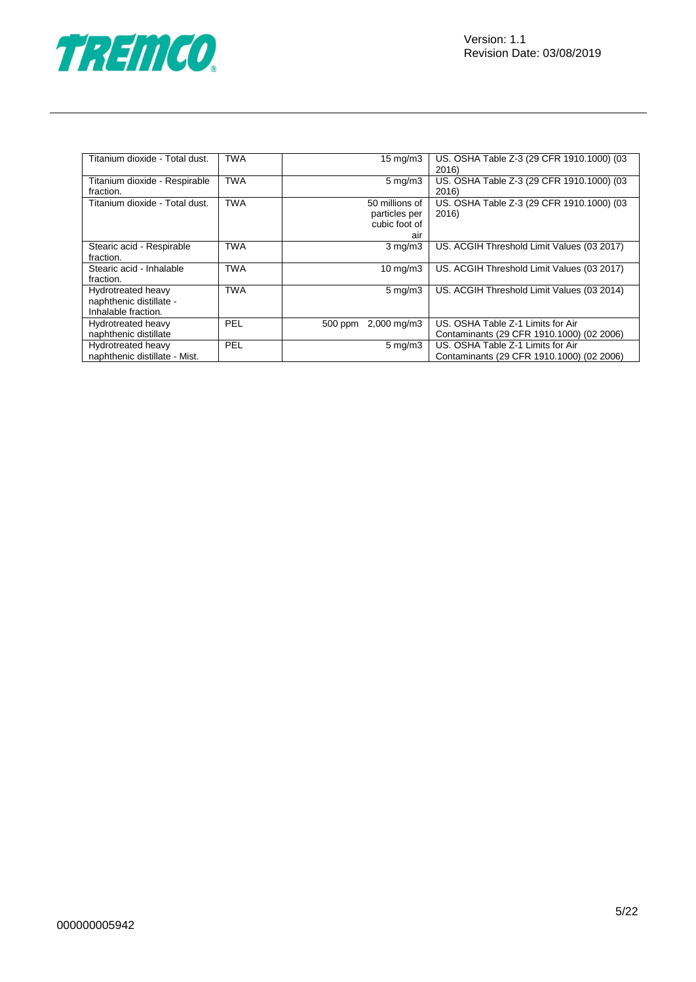

| Titanium dioxide - Total dust.                                       | <b>TWA</b> | $15 \text{ mg/m}$                                       | US. OSHA Table Z-3 (29 CFR 1910.1000) (03<br>2016) |
|----------------------------------------------------------------------|------------|---------------------------------------------------------|----------------------------------------------------|
| Titanium dioxide - Respirable<br>fraction.                           | <b>TWA</b> | $5 \text{ mg/m}$                                        | US. OSHA Table Z-3 (29 CFR 1910.1000) (03<br>2016) |
| Titanium dioxide - Total dust.                                       | <b>TWA</b> | 50 millions of<br>particles per<br>cubic foot of<br>air | US. OSHA Table Z-3 (29 CFR 1910.1000) (03<br>2016) |
| Stearic acid - Respirable<br>fraction.                               | <b>TWA</b> | $3$ mg/m $3$                                            | US. ACGIH Threshold Limit Values (03 2017)         |
| Stearic acid - Inhalable<br>fraction.                                | <b>TWA</b> | $10 \text{ mg/m}$                                       | US. ACGIH Threshold Limit Values (03 2017)         |
| Hydrotreated heavy<br>naphthenic distillate -<br>Inhalable fraction. | <b>TWA</b> | $5 \text{ mg/m}$                                        | US. ACGIH Threshold Limit Values (03 2014)         |
| Hydrotreated heavy                                                   | PEL        | 500 ppm 2,000 mg/m3                                     | US. OSHA Table Z-1 Limits for Air                  |
| naphthenic distillate                                                |            |                                                         | Contaminants (29 CFR 1910.1000) (02 2006)          |
| Hydrotreated heavy                                                   | PEL        | $5 \text{ mg/m}$                                        | US. OSHA Table Z-1 Limits for Air                  |
| naphthenic distillate - Mist.                                        |            |                                                         | Contaminants (29 CFR 1910.1000) (02 2006)          |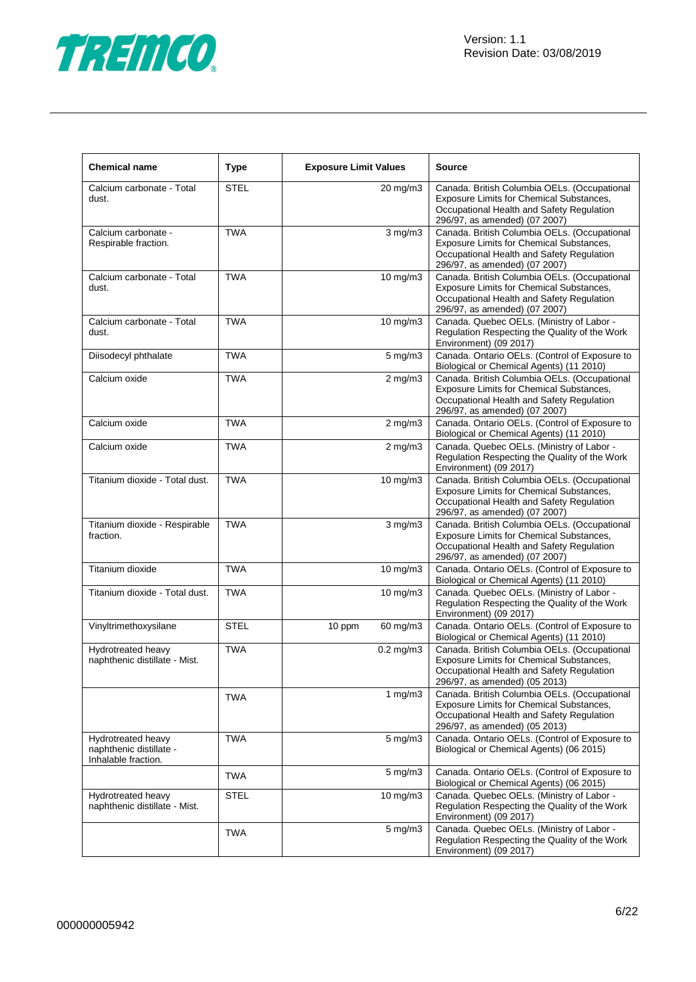

| <b>Chemical name</b>                                                 | <b>Type</b> | <b>Exposure Limit Values</b> |                    | <b>Source</b>                                                                                                                                                          |
|----------------------------------------------------------------------|-------------|------------------------------|--------------------|------------------------------------------------------------------------------------------------------------------------------------------------------------------------|
| Calcium carbonate - Total<br>dust.                                   | <b>STEL</b> |                              | 20 mg/m3           | Canada. British Columbia OELs. (Occupational<br>Exposure Limits for Chemical Substances,<br>Occupational Health and Safety Regulation<br>296/97, as amended) (07 2007) |
| Calcium carbonate -<br>Respirable fraction.                          | <b>TWA</b>  |                              | $3$ mg/m $3$       | Canada. British Columbia OELs. (Occupational<br>Exposure Limits for Chemical Substances,<br>Occupational Health and Safety Regulation<br>296/97, as amended) (07 2007) |
| Calcium carbonate - Total<br>dust.                                   | <b>TWA</b>  |                              | 10 mg/m3           | Canada. British Columbia OELs. (Occupational<br>Exposure Limits for Chemical Substances,<br>Occupational Health and Safety Regulation<br>296/97, as amended) (07 2007) |
| Calcium carbonate - Total<br>dust.                                   | <b>TWA</b>  |                              | 10 mg/m3           | Canada. Quebec OELs. (Ministry of Labor -<br>Regulation Respecting the Quality of the Work<br>Environment) (09 2017)                                                   |
| Diisodecyl phthalate                                                 | <b>TWA</b>  |                              | $5 \text{ mg/m}$ 3 | Canada. Ontario OELs. (Control of Exposure to<br>Biological or Chemical Agents) (11 2010)                                                                              |
| Calcium oxide                                                        | <b>TWA</b>  |                              | $2 \text{ mg/m}$   | Canada. British Columbia OELs. (Occupational<br>Exposure Limits for Chemical Substances,<br>Occupational Health and Safety Regulation<br>296/97, as amended) (07 2007) |
| Calcium oxide                                                        | <b>TWA</b>  |                              | $2$ mg/m $3$       | Canada. Ontario OELs. (Control of Exposure to<br>Biological or Chemical Agents) (11 2010)                                                                              |
| Calcium oxide                                                        | <b>TWA</b>  |                              | $2$ mg/m $3$       | Canada. Quebec OELs. (Ministry of Labor -<br>Regulation Respecting the Quality of the Work<br>Environment) (09 2017)                                                   |
| Titanium dioxide - Total dust.                                       | <b>TWA</b>  |                              | $10$ mg/m $3$      | Canada. British Columbia OELs. (Occupational<br>Exposure Limits for Chemical Substances,<br>Occupational Health and Safety Regulation<br>296/97, as amended) (07 2007) |
| Titanium dioxide - Respirable<br>fraction.                           | <b>TWA</b>  |                              | $3$ mg/m $3$       | Canada. British Columbia OELs. (Occupational<br>Exposure Limits for Chemical Substances,<br>Occupational Health and Safety Regulation<br>296/97, as amended) (07 2007) |
| Titanium dioxide                                                     | <b>TWA</b>  |                              | 10 mg/m3           | Canada. Ontario OELs. (Control of Exposure to<br>Biological or Chemical Agents) (11 2010)                                                                              |
| Titanium dioxide - Total dust.                                       | <b>TWA</b>  |                              | 10 mg/m3           | Canada. Quebec OELs. (Ministry of Labor -<br>Regulation Respecting the Quality of the Work<br>Environment) (09 2017)                                                   |
| Vinyltrimethoxysilane                                                | <b>STEL</b> | 10 ppm                       | 60 mg/m3           | Canada. Ontario OELs. (Control of Exposure to<br>Biological or Chemical Agents) (11 2010)                                                                              |
| Hydrotreated heavy<br>naphthenic distillate - Mist.                  | <b>TWA</b>  |                              | $0.2$ mg/m $3$     | Canada. British Columbia OELs. (Occupational<br>Exposure Limits for Chemical Substances,<br>Occupational Health and Safety Regulation<br>296/97, as amended) (05 2013) |
|                                                                      | <b>TWA</b>  |                              | 1 mg/m $3$         | Canada. British Columbia OELs. (Occupational<br>Exposure Limits for Chemical Substances,<br>Occupational Health and Safety Regulation<br>296/97, as amended) (05 2013) |
| Hydrotreated heavy<br>naphthenic distillate -<br>Inhalable fraction. | <b>TWA</b>  |                              | $5 \text{ mg/m}$ 3 | Canada. Ontario OELs. (Control of Exposure to<br>Biological or Chemical Agents) (06 2015)                                                                              |
|                                                                      | <b>TWA</b>  |                              | $5$ mg/m $3$       | Canada. Ontario OELs. (Control of Exposure to<br>Biological or Chemical Agents) (06 2015)                                                                              |
| Hydrotreated heavy<br>naphthenic distillate - Mist.                  | <b>STEL</b> |                              | 10 mg/m3           | Canada. Quebec OELs. (Ministry of Labor -<br>Regulation Respecting the Quality of the Work<br>Environment) (09 2017)                                                   |
|                                                                      | <b>TWA</b>  |                              | 5 mg/m3            | Canada. Quebec OELs. (Ministry of Labor -<br>Regulation Respecting the Quality of the Work<br>Environment) (09 2017)                                                   |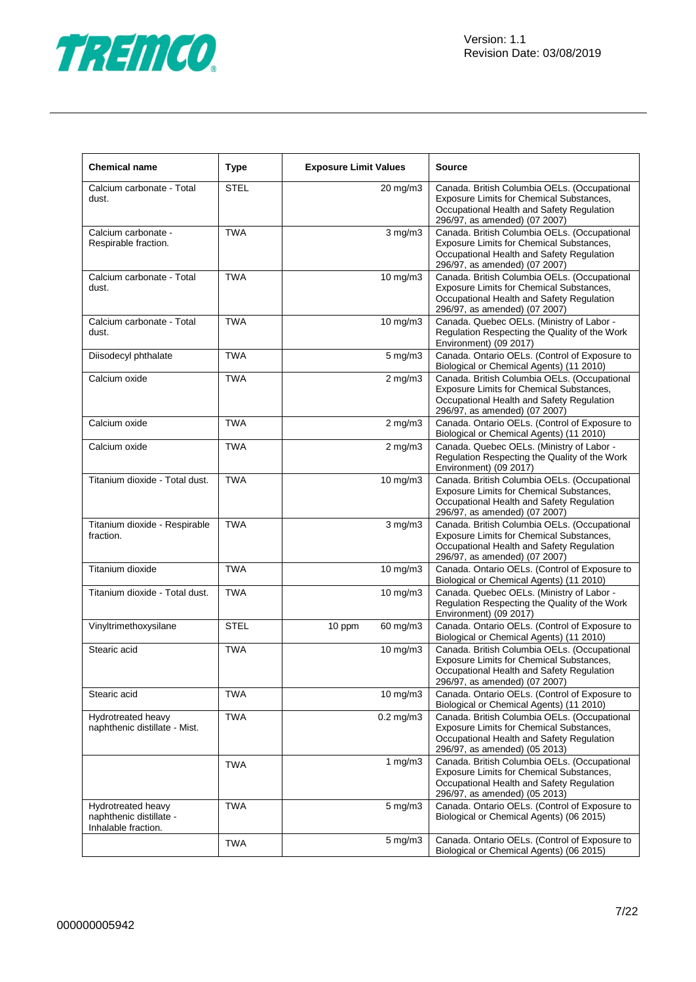

| <b>Chemical name</b>                                                 | <b>Type</b> | <b>Exposure Limit Values</b> |                    | <b>Source</b>                                                                                                                                                          |  |
|----------------------------------------------------------------------|-------------|------------------------------|--------------------|------------------------------------------------------------------------------------------------------------------------------------------------------------------------|--|
| Calcium carbonate - Total<br>dust.                                   | <b>STEL</b> |                              | 20 mg/m3           | Canada. British Columbia OELs. (Occupational<br>Exposure Limits for Chemical Substances,<br>Occupational Health and Safety Regulation<br>296/97, as amended) (07 2007) |  |
| Calcium carbonate -<br>Respirable fraction.                          | <b>TWA</b>  |                              | $3$ mg/m $3$       | Canada. British Columbia OELs. (Occupational<br>Exposure Limits for Chemical Substances,<br>Occupational Health and Safety Regulation<br>296/97, as amended) (07 2007) |  |
| Calcium carbonate - Total<br>dust.                                   | <b>TWA</b>  |                              | 10 mg/m3           | Canada. British Columbia OELs. (Occupational<br>Exposure Limits for Chemical Substances,<br>Occupational Health and Safety Regulation<br>296/97, as amended) (07 2007) |  |
| Calcium carbonate - Total<br>dust.                                   | <b>TWA</b>  |                              | 10 mg/m3           | Canada. Quebec OELs. (Ministry of Labor -<br>Regulation Respecting the Quality of the Work<br>Environment) (09 2017)                                                   |  |
| Diisodecyl phthalate                                                 | <b>TWA</b>  |                              | $5 \text{ mg/m}$ 3 | Canada. Ontario OELs. (Control of Exposure to<br>Biological or Chemical Agents) (11 2010)                                                                              |  |
| Calcium oxide                                                        | <b>TWA</b>  |                              | $2$ mg/m $3$       | Canada. British Columbia OELs. (Occupational<br>Exposure Limits for Chemical Substances,<br>Occupational Health and Safety Regulation<br>296/97, as amended) (07 2007) |  |
| Calcium oxide                                                        | <b>TWA</b>  |                              | $2$ mg/m $3$       | Canada. Ontario OELs. (Control of Exposure to<br>Biological or Chemical Agents) (11 2010)                                                                              |  |
| Calcium oxide                                                        | <b>TWA</b>  |                              | $2$ mg/m $3$       | Canada. Quebec OELs. (Ministry of Labor -<br>Regulation Respecting the Quality of the Work<br>Environment) (09 2017)                                                   |  |
| Titanium dioxide - Total dust.                                       | <b>TWA</b>  |                              | $10$ mg/m $3$      | Canada. British Columbia OELs. (Occupational<br>Exposure Limits for Chemical Substances,<br>Occupational Health and Safety Regulation<br>296/97, as amended) (07 2007) |  |
| Titanium dioxide - Respirable<br>fraction.                           | <b>TWA</b>  |                              | $3$ mg/m $3$       | Canada. British Columbia OELs. (Occupational<br>Exposure Limits for Chemical Substances,<br>Occupational Health and Safety Regulation<br>296/97, as amended) (07 2007) |  |
| Titanium dioxide                                                     | <b>TWA</b>  |                              | 10 mg/m3           | Canada. Ontario OELs. (Control of Exposure to<br>Biological or Chemical Agents) (11 2010)                                                                              |  |
| Titanium dioxide - Total dust.                                       | <b>TWA</b>  |                              | 10 mg/m3           | Canada. Quebec OELs. (Ministry of Labor -<br>Regulation Respecting the Quality of the Work<br>Environment) (09 2017)                                                   |  |
| Vinyltrimethoxysilane                                                | <b>STEL</b> | 10 ppm                       | 60 mg/m3           | Canada. Ontario OELs. (Control of Exposure to<br>Biological or Chemical Agents) (11 2010)                                                                              |  |
| Stearic acid                                                         | <b>TWA</b>  |                              | 10 mg/m3           | Canada. British Columbia OELs. (Occupational<br>Exposure Limits for Chemical Substances,<br>Occupational Health and Safety Regulation<br>296/97, as amended) (07 2007) |  |
| Stearic acid                                                         | <b>TWA</b>  |                              | 10 mg/m3           | Canada. Ontario OELs. (Control of Exposure to<br>Biological or Chemical Agents) (11 2010)                                                                              |  |
| Hydrotreated heavy<br>naphthenic distillate - Mist.                  | <b>TWA</b>  |                              | $0.2$ mg/m $3$     | Canada. British Columbia OELs. (Occupational<br>Exposure Limits for Chemical Substances,<br>Occupational Health and Safety Regulation<br>296/97, as amended) (05 2013) |  |
|                                                                      | <b>TWA</b>  |                              | 1 $mg/m3$          | Canada. British Columbia OELs. (Occupational<br>Exposure Limits for Chemical Substances,<br>Occupational Health and Safety Regulation<br>296/97, as amended) (05 2013) |  |
| Hydrotreated heavy<br>naphthenic distillate -<br>Inhalable fraction. | <b>TWA</b>  |                              | $5$ mg/m $3$       | Canada. Ontario OELs. (Control of Exposure to<br>Biological or Chemical Agents) (06 2015)                                                                              |  |
|                                                                      | <b>TWA</b>  |                              | $5 \text{ mg/m}$ 3 | Canada. Ontario OELs. (Control of Exposure to<br>Biological or Chemical Agents) (06 2015)                                                                              |  |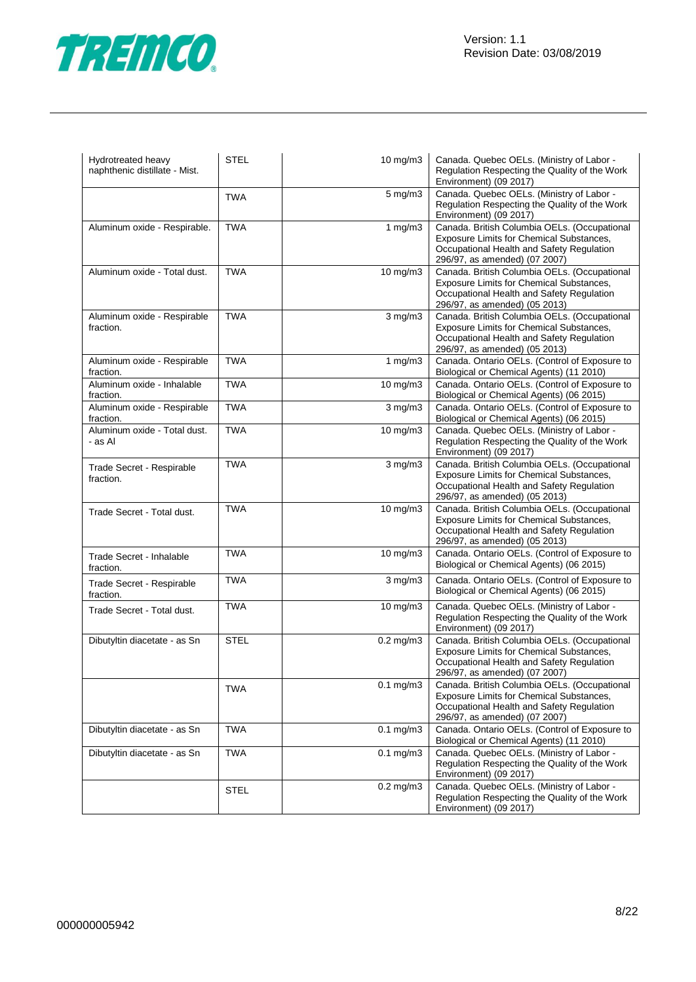

| Hydrotreated heavy<br>naphthenic distillate - Mist. | <b>STEL</b> | 10 mg/m3         | Canada. Quebec OELs. (Ministry of Labor -<br>Regulation Respecting the Quality of the Work<br>Environment) (09 2017)                                                   |
|-----------------------------------------------------|-------------|------------------|------------------------------------------------------------------------------------------------------------------------------------------------------------------------|
|                                                     | <b>TWA</b>  | 5 mg/m3          | Canada. Quebec OELs. (Ministry of Labor -<br>Regulation Respecting the Quality of the Work<br>Environment) (09 2017)                                                   |
| Aluminum oxide - Respirable.                        | <b>TWA</b>  | 1 $mg/m3$        | Canada. British Columbia OELs. (Occupational<br>Exposure Limits for Chemical Substances,<br>Occupational Health and Safety Regulation<br>296/97, as amended) (07 2007) |
| Aluminum oxide - Total dust.                        | <b>TWA</b>  | 10 mg/m3         | Canada. British Columbia OELs. (Occupational<br>Exposure Limits for Chemical Substances,<br>Occupational Health and Safety Regulation<br>296/97, as amended) (05 2013) |
| Aluminum oxide - Respirable<br>fraction.            | <b>TWA</b>  | $3$ mg/m $3$     | Canada. British Columbia OELs. (Occupational<br>Exposure Limits for Chemical Substances,<br>Occupational Health and Safety Regulation<br>296/97, as amended) (05 2013) |
| Aluminum oxide - Respirable<br>fraction.            | <b>TWA</b>  | 1 $mg/m3$        | Canada. Ontario OELs. (Control of Exposure to<br>Biological or Chemical Agents) (11 2010)                                                                              |
| Aluminum oxide - Inhalable<br>fraction.             | <b>TWA</b>  | 10 mg/m3         | Canada. Ontario OELs. (Control of Exposure to<br>Biological or Chemical Agents) (06 2015)                                                                              |
| Aluminum oxide - Respirable<br>fraction.            | <b>TWA</b>  | $3$ mg/m $3$     | Canada. Ontario OELs. (Control of Exposure to<br>Biological or Chemical Agents) (06 2015)                                                                              |
| Aluminum oxide - Total dust.<br>- as Al             | <b>TWA</b>  | 10 mg/m3         | Canada. Quebec OELs. (Ministry of Labor -<br>Regulation Respecting the Quality of the Work<br>Environment) (09 2017)                                                   |
| Trade Secret - Respirable<br>fraction.              | <b>TWA</b>  | $3 \text{ mg/m}$ | Canada. British Columbia OELs. (Occupational<br>Exposure Limits for Chemical Substances,<br>Occupational Health and Safety Regulation<br>296/97, as amended) (05 2013) |
| Trade Secret - Total dust.                          | <b>TWA</b>  | 10 mg/m3         | Canada. British Columbia OELs. (Occupational<br>Exposure Limits for Chemical Substances,<br>Occupational Health and Safety Regulation<br>296/97, as amended) (05 2013) |
| Trade Secret - Inhalable<br>fraction.               | <b>TWA</b>  | $10$ mg/m $3$    | Canada. Ontario OELs. (Control of Exposure to<br>Biological or Chemical Agents) (06 2015)                                                                              |
| Trade Secret - Respirable<br>fraction.              | <b>TWA</b>  | $3$ mg/m $3$     | Canada. Ontario OELs. (Control of Exposure to<br>Biological or Chemical Agents) (06 2015)                                                                              |
| Trade Secret - Total dust.                          | <b>TWA</b>  | 10 mg/m3         | Canada. Quebec OELs. (Ministry of Labor -<br>Regulation Respecting the Quality of the Work<br>Environment) (09 2017)                                                   |
| Dibutyltin diacetate - as Sn                        | <b>STEL</b> | $0.2$ mg/m $3$   | Canada. British Columbia OELs. (Occupational<br>Exposure Limits for Chemical Substances,<br>Occupational Health and Safety Regulation<br>296/97, as amended) (07 2007) |
|                                                     | <b>TWA</b>  | $0.1$ mg/m $3$   | Canada. British Columbia OELs. (Occupational<br>Exposure Limits for Chemical Substances,<br>Occupational Health and Safety Regulation<br>296/97, as amended) (07 2007) |
| Dibutyltin diacetate - as Sn                        | <b>TWA</b>  | $0.1$ mg/m $3$   | Canada. Ontario OELs. (Control of Exposure to<br>Biological or Chemical Agents) (11 2010)                                                                              |
| Dibutyltin diacetate - as Sn                        | <b>TWA</b>  | $0.1$ mg/m $3$   | Canada. Quebec OELs. (Ministry of Labor -<br>Regulation Respecting the Quality of the Work<br>Environment) (09 2017)                                                   |
|                                                     | <b>STEL</b> | $0.2$ mg/m $3$   | Canada. Quebec OELs. (Ministry of Labor -<br>Regulation Respecting the Quality of the Work<br>Environment) (09 2017)                                                   |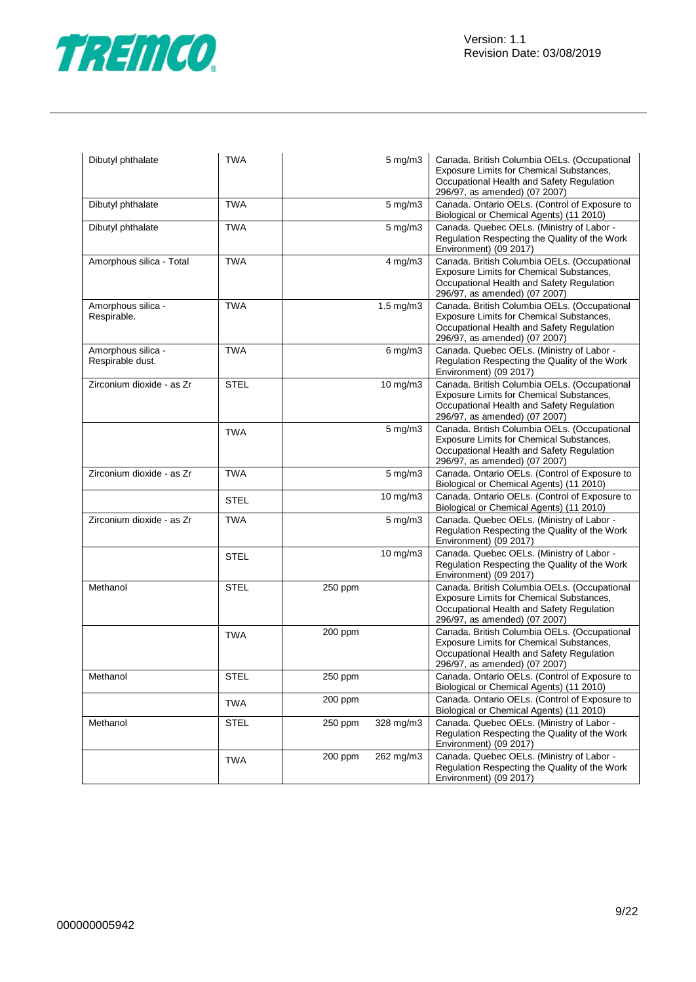

| Dibutyl phthalate                      | <b>TWA</b>  |         | 5 mg/m3              | Canada. British Columbia OELs. (Occupational<br>Exposure Limits for Chemical Substances,<br>Occupational Health and Safety Regulation<br>296/97, as amended) (07 2007) |
|----------------------------------------|-------------|---------|----------------------|------------------------------------------------------------------------------------------------------------------------------------------------------------------------|
| Dibutyl phthalate                      | <b>TWA</b>  |         | $5 \text{ mg/m}$     | Canada. Ontario OELs. (Control of Exposure to<br>Biological or Chemical Agents) (11 2010)                                                                              |
| Dibutyl phthalate                      | <b>TWA</b>  |         | $5 \text{ mg/m}$     | Canada. Quebec OELs. (Ministry of Labor -<br>Regulation Respecting the Quality of the Work<br>Environment) (09 2017)                                                   |
| Amorphous silica - Total               | <b>TWA</b>  |         | 4 mg/m3              | Canada. British Columbia OELs. (Occupational<br>Exposure Limits for Chemical Substances,<br>Occupational Health and Safety Regulation<br>296/97, as amended) (07 2007) |
| Amorphous silica -<br>Respirable.      | <b>TWA</b>  |         | $1.5 \text{ mg/m}$ 3 | Canada. British Columbia OELs. (Occupational<br>Exposure Limits for Chemical Substances,<br>Occupational Health and Safety Regulation<br>296/97, as amended) (07 2007) |
| Amorphous silica -<br>Respirable dust. | <b>TWA</b>  |         | $6$ mg/m $3$         | Canada. Quebec OELs. (Ministry of Labor -<br>Regulation Respecting the Quality of the Work<br>Environment) (09 2017)                                                   |
| Zirconium dioxide - as Zr              | <b>STEL</b> |         | 10 mg/m3             | Canada. British Columbia OELs. (Occupational<br>Exposure Limits for Chemical Substances,<br>Occupational Health and Safety Regulation<br>296/97, as amended) (07 2007) |
|                                        | <b>TWA</b>  |         | 5 mg/m3              | Canada. British Columbia OELs. (Occupational<br>Exposure Limits for Chemical Substances,<br>Occupational Health and Safety Regulation<br>296/97, as amended) (07 2007) |
| Zirconium dioxide - as Zr              | <b>TWA</b>  |         | $5$ mg/m $3$         | Canada. Ontario OELs. (Control of Exposure to<br>Biological or Chemical Agents) (11 2010)                                                                              |
|                                        | STEL        |         | $10$ mg/m $3$        | Canada. Ontario OELs. (Control of Exposure to<br>Biological or Chemical Agents) (11 2010)                                                                              |
| Zirconium dioxide - as Zr              | <b>TWA</b>  |         | $5 \text{ mg/m}$     | Canada. Quebec OELs. (Ministry of Labor -<br>Regulation Respecting the Quality of the Work<br>Environment) (09 2017)                                                   |
|                                        | <b>STEL</b> |         | $10 \text{ mg/m}$    | Canada. Quebec OELs. (Ministry of Labor -<br>Regulation Respecting the Quality of the Work<br>Environment) (09 2017)                                                   |
| Methanol                               | STEL        | 250 ppm |                      | Canada. British Columbia OELs. (Occupational<br>Exposure Limits for Chemical Substances,<br>Occupational Health and Safety Regulation<br>296/97, as amended) (07 2007) |
|                                        | <b>TWA</b>  | 200 ppm |                      | Canada. British Columbia OELs. (Occupational<br>Exposure Limits for Chemical Substances,<br>Occupational Health and Safety Regulation<br>296/97, as amended) (07 2007) |
| Methanol                               | <b>STEL</b> | 250 ppm |                      | Canada. Ontario OELs. (Control of Exposure to<br>Biological or Chemical Agents) (11 2010)                                                                              |
|                                        | <b>TWA</b>  | 200 ppm |                      | Canada. Ontario OELs. (Control of Exposure to<br>Biological or Chemical Agents) (11 2010)                                                                              |
| Methanol                               | <b>STEL</b> | 250 ppm | 328 mg/m3            | Canada. Quebec OELs. (Ministry of Labor -<br>Regulation Respecting the Quality of the Work<br>Environment) (09 2017)                                                   |
|                                        | <b>TWA</b>  | 200 ppm | 262 mg/m3            | Canada. Quebec OELs. (Ministry of Labor -<br>Regulation Respecting the Quality of the Work<br>Environment) (09 2017)                                                   |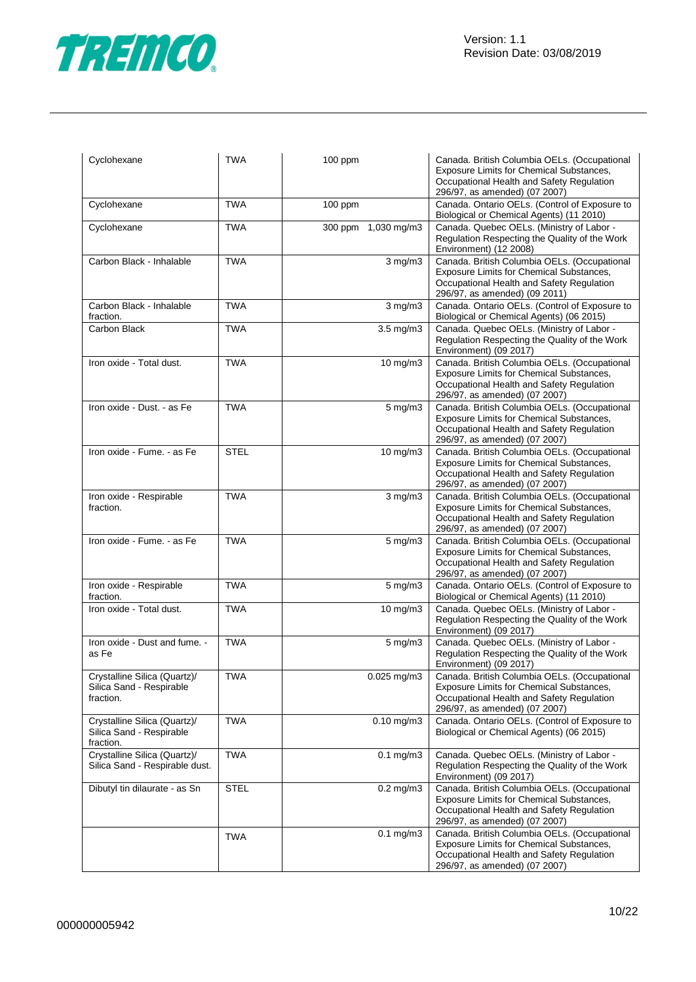

| Cyclohexane                                                           | <b>TWA</b>  | 100 ppm              | Canada. British Columbia OELs. (Occupational<br>Exposure Limits for Chemical Substances,<br>Occupational Health and Safety Regulation<br>296/97, as amended) (07 2007)        |
|-----------------------------------------------------------------------|-------------|----------------------|-------------------------------------------------------------------------------------------------------------------------------------------------------------------------------|
| Cyclohexane                                                           | <b>TWA</b>  | 100 ppm              | Canada. Ontario OELs. (Control of Exposure to<br>Biological or Chemical Agents) (11 2010)                                                                                     |
| Cyclohexane                                                           | <b>TWA</b>  | 300 ppm 1,030 mg/m3  | Canada. Quebec OELs. (Ministry of Labor -<br>Regulation Respecting the Quality of the Work<br>Environment) (12 2008)                                                          |
| Carbon Black - Inhalable                                              | <b>TWA</b>  | $3$ mg/m $3$         | Canada. British Columbia OELs. (Occupational<br>Exposure Limits for Chemical Substances,<br>Occupational Health and Safety Regulation<br>296/97, as amended) (09 2011)        |
| Carbon Black - Inhalable<br>fraction.                                 | <b>TWA</b>  | $3$ mg/m $3$         | Canada. Ontario OELs. (Control of Exposure to<br>Biological or Chemical Agents) (06 2015)                                                                                     |
| Carbon Black                                                          | <b>TWA</b>  | $3.5$ mg/m $3$       | Canada. Quebec OELs. (Ministry of Labor -<br>Regulation Respecting the Quality of the Work<br>Environment) (09 2017)                                                          |
| Iron oxide - Total dust.                                              | <b>TWA</b>  | $\frac{1}{10}$ mg/m3 | Canada. British Columbia OELs. (Occupational<br>Exposure Limits for Chemical Substances,<br>Occupational Health and Safety Regulation<br>296/97, as amended) (07 2007)        |
| Iron oxide - Dust. - as Fe                                            | <b>TWA</b>  | $5 \text{ mg/m}$     | Canada. British Columbia OELs. (Occupational<br><b>Exposure Limits for Chemical Substances,</b><br>Occupational Health and Safety Regulation<br>296/97, as amended) (07 2007) |
| Iron oxide - Fume. - as Fe                                            | <b>STEL</b> | 10 mg/m3             | Canada. British Columbia OELs. (Occupational<br><b>Exposure Limits for Chemical Substances,</b><br>Occupational Health and Safety Regulation<br>296/97, as amended) (07 2007) |
| Iron oxide - Respirable<br>fraction.                                  | <b>TWA</b>  | $3$ mg/m $3$         | Canada. British Columbia OELs. (Occupational<br>Exposure Limits for Chemical Substances,<br>Occupational Health and Safety Regulation<br>296/97, as amended) (07 2007)        |
| Iron oxide - Fume. - as Fe                                            | <b>TWA</b>  | $5$ mg/m $3$         | Canada. British Columbia OELs. (Occupational<br>Exposure Limits for Chemical Substances,<br>Occupational Health and Safety Regulation<br>296/97, as amended) (07 2007)        |
| Iron oxide - Respirable<br>fraction.                                  | <b>TWA</b>  | 5 mg/m3              | Canada. Ontario OELs. (Control of Exposure to<br>Biological or Chemical Agents) (11 2010)                                                                                     |
| Iron oxide - Total dust.                                              | <b>TWA</b>  | 10 mg/m3             | Canada. Quebec OELs. (Ministry of Labor -<br>Regulation Respecting the Quality of the Work<br>Environment) (09 2017)                                                          |
| Iron oxide - Dust and fume. -<br>as Fe                                | <b>TWA</b>  | $5$ mg/m $3$         | Canada. Quebec OELs. (Ministry of Labor -<br>Regulation Respecting the Quality of the Work<br>Environment) (09 2017)                                                          |
| Crystalline Silica (Quartz)/<br>Silica Sand - Respirable<br>fraction. | <b>TWA</b>  | 0.025 mg/m3          | Canada. British Columbia OELs. (Occupational<br>Exposure Limits for Chemical Substances,<br>Occupational Health and Safety Regulation<br>296/97, as amended) (07 2007)        |
| Crystalline Silica (Quartz)/<br>Silica Sand - Respirable<br>fraction. | <b>TWA</b>  | $0.10$ mg/m $3$      | Canada. Ontario OELs. (Control of Exposure to<br>Biological or Chemical Agents) (06 2015)                                                                                     |
| Crystalline Silica (Quartz)/<br>Silica Sand - Respirable dust.        | <b>TWA</b>  | $0.1$ mg/m $3$       | Canada. Quebec OELs. (Ministry of Labor -<br>Regulation Respecting the Quality of the Work<br>Environment) (09 2017)                                                          |
| Dibutyl tin dilaurate - as Sn                                         | <b>STEL</b> | $0.2$ mg/m $3$       | Canada. British Columbia OELs. (Occupational<br>Exposure Limits for Chemical Substances,<br>Occupational Health and Safety Regulation<br>296/97, as amended) (07 2007)        |
|                                                                       | TWA         | $0.1$ mg/m $3$       | Canada. British Columbia OELs. (Occupational<br>Exposure Limits for Chemical Substances,<br>Occupational Health and Safety Regulation<br>296/97, as amended) (07 2007)        |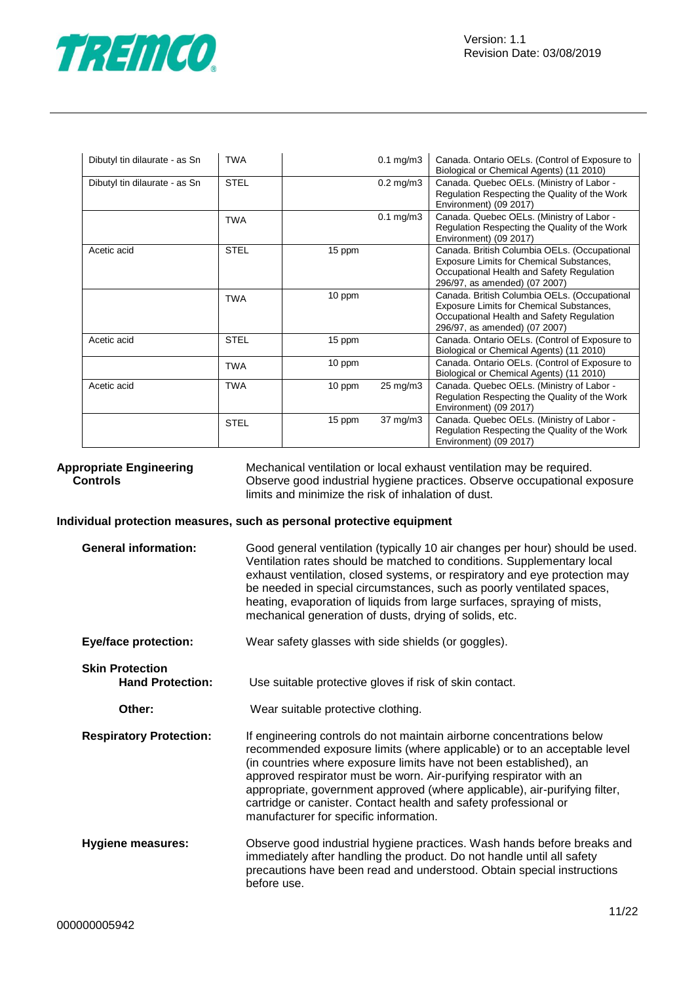

| Dibutyl tin dilaurate - as Sn | <b>TWA</b>  |        | $0.1$ mg/m $3$       | Canada. Ontario OELs. (Control of Exposure to<br>Biological or Chemical Agents) (11 2010)                                                                              |
|-------------------------------|-------------|--------|----------------------|------------------------------------------------------------------------------------------------------------------------------------------------------------------------|
| Dibutyl tin dilaurate - as Sn | <b>STEL</b> |        | $0.2$ mg/m $3$       | Canada. Quebec OELs. (Ministry of Labor -<br>Regulation Respecting the Quality of the Work<br>Environment) (09 2017)                                                   |
|                               | <b>TWA</b>  |        | $0.1 \text{ mg/m}$ 3 | Canada. Quebec OELs. (Ministry of Labor -<br>Regulation Respecting the Quality of the Work<br>Environment) (09 2017)                                                   |
| Acetic acid                   | <b>STEL</b> | 15 ppm |                      | Canada. British Columbia OELs. (Occupational<br>Exposure Limits for Chemical Substances,<br>Occupational Health and Safety Regulation<br>296/97, as amended) (07 2007) |
|                               | <b>TWA</b>  | 10 ppm |                      | Canada. British Columbia OELs. (Occupational<br>Exposure Limits for Chemical Substances,<br>Occupational Health and Safety Regulation<br>296/97, as amended) (07 2007) |
| Acetic acid                   | <b>STEL</b> | 15 ppm |                      | Canada. Ontario OELs. (Control of Exposure to<br>Biological or Chemical Agents) (11 2010)                                                                              |
|                               | <b>TWA</b>  | 10 ppm |                      | Canada. Ontario OELs. (Control of Exposure to<br>Biological or Chemical Agents) (11 2010)                                                                              |
| Acetic acid                   | <b>TWA</b>  | 10 ppm | 25 mg/m3             | Canada. Quebec OELs. (Ministry of Labor -<br>Regulation Respecting the Quality of the Work<br>Environment) (09 2017)                                                   |
|                               | <b>STEL</b> | 15 ppm | $37 \text{ mg/m}$    | Canada. Quebec OELs. (Ministry of Labor -<br>Regulation Respecting the Quality of the Work<br>Environment) (09 2017)                                                   |

**Appropriate Engineering Controls** Mechanical ventilation or local exhaust ventilation may be required. Observe good industrial hygiene practices. Observe occupational exposure limits and minimize the risk of inhalation of dust.

#### **Individual protection measures, such as personal protective equipment**

| <b>General information:</b>                       | Good general ventilation (typically 10 air changes per hour) should be used.<br>Ventilation rates should be matched to conditions. Supplementary local<br>exhaust ventilation, closed systems, or respiratory and eye protection may<br>be needed in special circumstances, such as poorly ventilated spaces,<br>heating, evaporation of liquids from large surfaces, spraying of mists,<br>mechanical generation of dusts, drying of solids, etc.                                        |
|---------------------------------------------------|-------------------------------------------------------------------------------------------------------------------------------------------------------------------------------------------------------------------------------------------------------------------------------------------------------------------------------------------------------------------------------------------------------------------------------------------------------------------------------------------|
| <b>Eye/face protection:</b>                       | Wear safety glasses with side shields (or goggles).                                                                                                                                                                                                                                                                                                                                                                                                                                       |
| <b>Skin Protection</b><br><b>Hand Protection:</b> | Use suitable protective gloves if risk of skin contact.                                                                                                                                                                                                                                                                                                                                                                                                                                   |
| Other:                                            | Wear suitable protective clothing.                                                                                                                                                                                                                                                                                                                                                                                                                                                        |
| <b>Respiratory Protection:</b>                    | If engineering controls do not maintain airborne concentrations below<br>recommended exposure limits (where applicable) or to an acceptable level<br>(in countries where exposure limits have not been established), an<br>approved respirator must be worn. Air-purifying respirator with an<br>appropriate, government approved (where applicable), air-purifying filter,<br>cartridge or canister. Contact health and safety professional or<br>manufacturer for specific information. |
| Hygiene measures:                                 | Observe good industrial hygiene practices. Wash hands before breaks and<br>immediately after handling the product. Do not handle until all safety<br>precautions have been read and understood. Obtain special instructions<br>before use.                                                                                                                                                                                                                                                |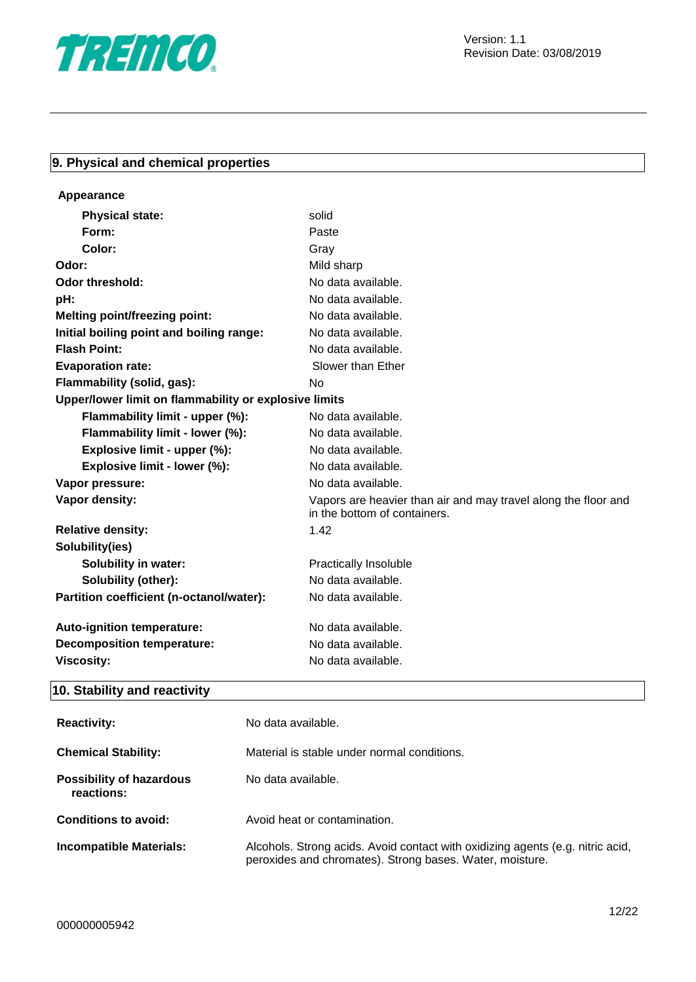

## **9. Physical and chemical properties**

| Appearance                                            |                                                                                                |
|-------------------------------------------------------|------------------------------------------------------------------------------------------------|
| <b>Physical state:</b>                                | solid                                                                                          |
| Form:                                                 | Paste                                                                                          |
| Color:                                                | Gray                                                                                           |
| Odor:                                                 | Mild sharp                                                                                     |
| <b>Odor threshold:</b>                                | No data available.                                                                             |
| pH:                                                   | No data available.                                                                             |
| <b>Melting point/freezing point:</b>                  | No data available.                                                                             |
| Initial boiling point and boiling range:              | No data available.                                                                             |
| <b>Flash Point:</b>                                   | No data available.                                                                             |
| <b>Evaporation rate:</b>                              | Slower than Ether                                                                              |
| Flammability (solid, gas):                            | No                                                                                             |
| Upper/lower limit on flammability or explosive limits |                                                                                                |
| Flammability limit - upper (%):                       | No data available.                                                                             |
| Flammability limit - lower (%):                       | No data available.                                                                             |
| Explosive limit - upper (%):                          | No data available.                                                                             |
| Explosive limit - lower (%):                          | No data available.                                                                             |
| Vapor pressure:                                       | No data available.                                                                             |
| Vapor density:                                        | Vapors are heavier than air and may travel along the floor and<br>in the bottom of containers. |
| <b>Relative density:</b>                              | 1.42                                                                                           |
| Solubility(ies)                                       |                                                                                                |
| <b>Solubility in water:</b>                           | <b>Practically Insoluble</b>                                                                   |
| Solubility (other):                                   | No data available.                                                                             |
| Partition coefficient (n-octanol/water):              | No data available.                                                                             |
| Auto-ignition temperature:                            | No data available.                                                                             |
| <b>Decomposition temperature:</b>                     | No data available.                                                                             |
| <b>Viscosity:</b>                                     | No data available.                                                                             |
|                                                       |                                                                                                |

## **10. Stability and reactivity**

| <b>Reactivity:</b>                            | No data available.                                                                                                                         |
|-----------------------------------------------|--------------------------------------------------------------------------------------------------------------------------------------------|
| <b>Chemical Stability:</b>                    | Material is stable under normal conditions.                                                                                                |
| <b>Possibility of hazardous</b><br>reactions: | No data available.                                                                                                                         |
| Conditions to avoid:                          | Avoid heat or contamination.                                                                                                               |
| <b>Incompatible Materials:</b>                | Alcohols. Strong acids. Avoid contact with oxidizing agents (e.g. nitric acid,<br>peroxides and chromates). Strong bases. Water, moisture. |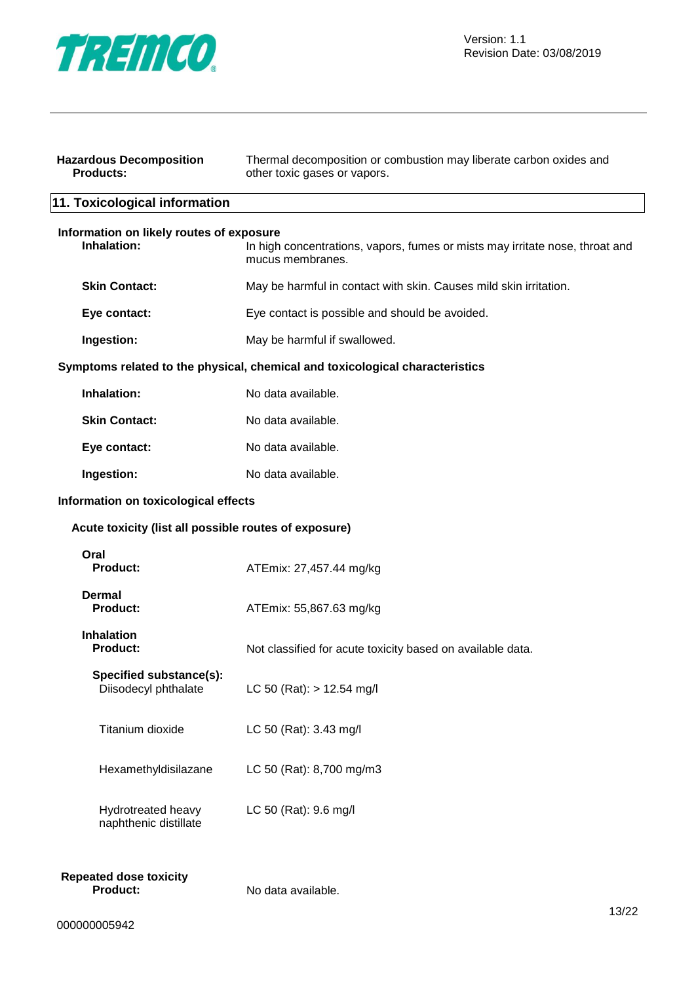

| <b>Hazardous Decomposition</b><br><b>Products:</b>      | Thermal decomposition or combustion may liberate carbon oxides and<br>other toxic gases or vapors. |  |
|---------------------------------------------------------|----------------------------------------------------------------------------------------------------|--|
| 11. Toxicological information                           |                                                                                                    |  |
| Information on likely routes of exposure<br>Inhalation: | In high concentrations, vapors, fumes or mists may irritate nose, throat and<br>mucus membranes.   |  |
| <b>Skin Contact:</b>                                    | May be harmful in contact with skin. Causes mild skin irritation.                                  |  |
| Eye contact:                                            | Eye contact is possible and should be avoided.                                                     |  |
| Ingestion:                                              | May be harmful if swallowed.                                                                       |  |
|                                                         | Symptoms related to the physical, chemical and toxicological characteristics                       |  |
| Inhalation:                                             | No data available.                                                                                 |  |
| <b>Skin Contact:</b>                                    | No data available.                                                                                 |  |
| Eye contact:                                            | No data available.                                                                                 |  |
| Ingestion:                                              | No data available.                                                                                 |  |
| Information on toxicological effects                    |                                                                                                    |  |
| Acute toxicity (list all possible routes of exposure)   |                                                                                                    |  |
| Oral<br><b>Product:</b>                                 | ATEmix: 27,457.44 mg/kg                                                                            |  |
| <b>Dermal</b><br><b>Product:</b>                        | ATEmix: 55,867.63 mg/kg                                                                            |  |
| <b>Inhalation</b><br><b>Product:</b>                    | Not classified for acute toxicity based on available data.                                         |  |
| Specified substance(s):<br>Diisodecyl phthalate         | LC 50 (Rat): $> 12.54$ mg/l                                                                        |  |
| Titanium dioxide                                        | LC 50 (Rat): 3.43 mg/l                                                                             |  |
| Hexamethyldisilazane                                    | LC 50 (Rat): 8,700 mg/m3                                                                           |  |
| Hydrotreated heavy<br>naphthenic distillate             | LC 50 (Rat): 9.6 mg/l                                                                              |  |
| <b>Repeated dose toxicity</b><br><b>Product:</b>        | No data available.<br>13/22                                                                        |  |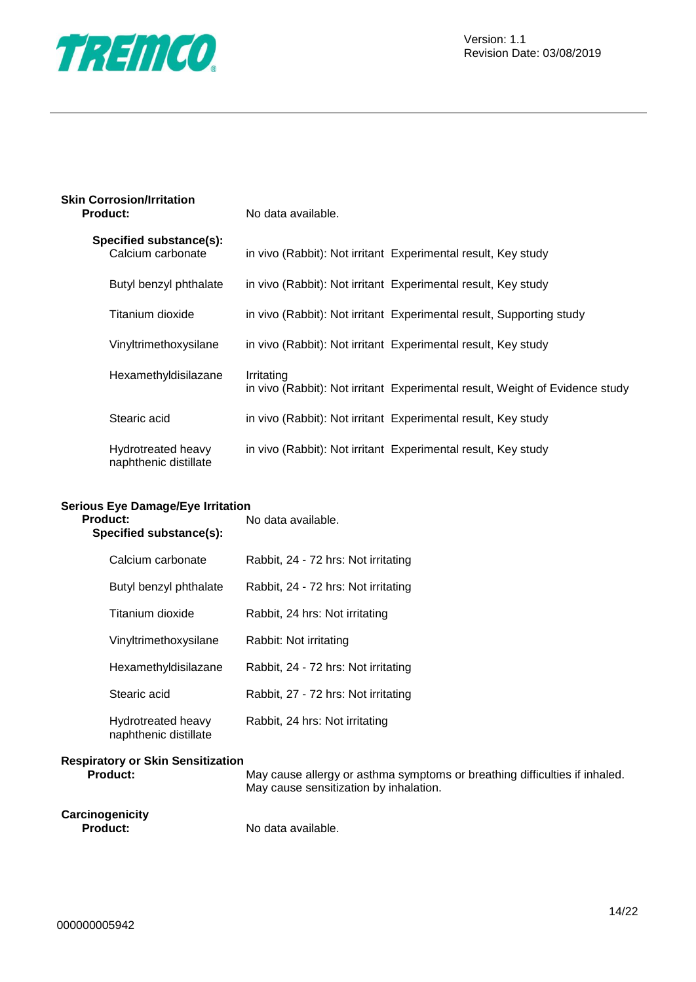

| <b>Skin Corrosion/Irritation</b> |                    |
|----------------------------------|--------------------|
| <b>Product:</b>                  | No data available. |

| Specified substance(s):<br>Calcium carbonate |            | in vivo (Rabbit): Not irritant Experimental result, Key study                |
|----------------------------------------------|------------|------------------------------------------------------------------------------|
| Butyl benzyl phthalate                       |            | in vivo (Rabbit): Not irritant Experimental result, Key study                |
| Titanium dioxide                             |            | in vivo (Rabbit): Not irritant Experimental result, Supporting study         |
| Vinyltrimethoxysilane                        |            | in vivo (Rabbit): Not irritant Experimental result, Key study                |
| Hexamethyldisilazane                         | Irritating | in vivo (Rabbit): Not irritant Experimental result, Weight of Evidence study |
| Stearic acid                                 |            | in vivo (Rabbit): Not irritant Experimental result, Key study                |
| Hydrotreated heavy<br>naphthenic distillate  |            | in vivo (Rabbit): Not irritant Experimental result, Key study                |

#### **Serious Eye Damage/Eye Irritation**

| <b>Product:</b><br>Specified substance(s):  | No data available.                  |
|---------------------------------------------|-------------------------------------|
| Calcium carbonate                           | Rabbit, 24 - 72 hrs: Not irritating |
| Butyl benzyl phthalate                      | Rabbit, 24 - 72 hrs: Not irritating |
| Titanium dioxide                            | Rabbit, 24 hrs: Not irritating      |
| Vinyltrimethoxysilane                       | Rabbit: Not irritating              |
| Hexamethyldisilazane                        | Rabbit, 24 - 72 hrs: Not irritating |
| Stearic acid                                | Rabbit, 27 - 72 hrs: Not irritating |
| Hydrotreated heavy<br>naphthenic distillate | Rabbit, 24 hrs: Not irritating      |
| <b>Respiratory or Skin Sensitization</b>    |                                     |

**Product:** May cause allergy or asthma symptoms or breathing difficulties if inhaled. May cause sensitization by inhalation.

**Carcinogenicity**

No data available.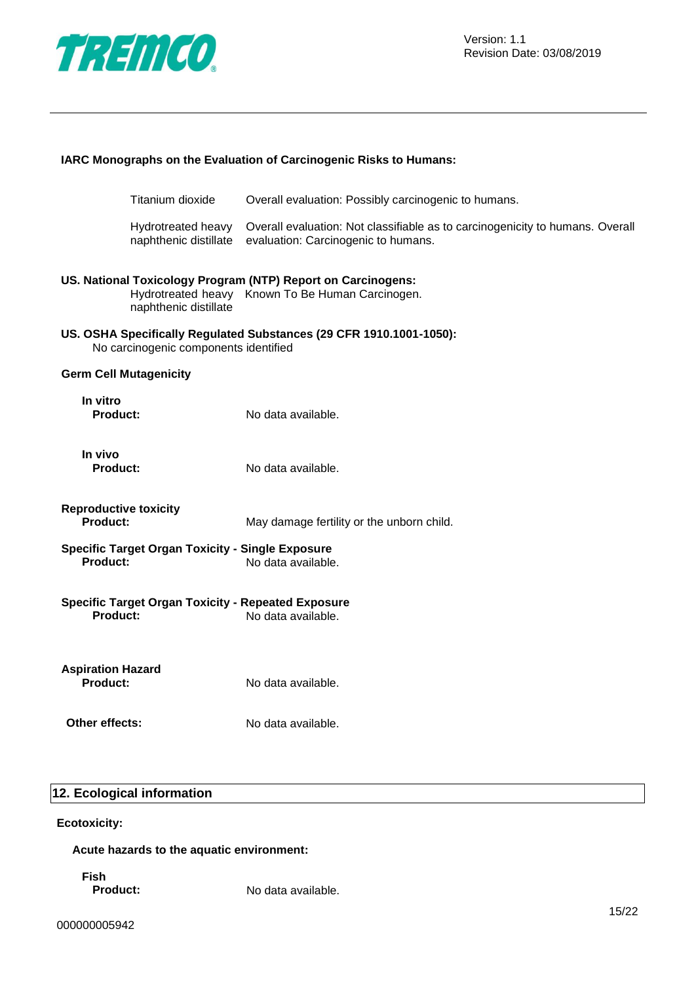

| IARC Monographs on the Evaluation of Carcinogenic Risks to Humans: |                                                           |                                                                                                                      |
|--------------------------------------------------------------------|-----------------------------------------------------------|----------------------------------------------------------------------------------------------------------------------|
|                                                                    | Titanium dioxide                                          | Overall evaluation: Possibly carcinogenic to humans.                                                                 |
|                                                                    | Hydrotreated heavy<br>naphthenic distillate               | Overall evaluation: Not classifiable as to carcinogenicity to humans. Overall<br>evaluation: Carcinogenic to humans. |
|                                                                    | naphthenic distillate                                     | US. National Toxicology Program (NTP) Report on Carcinogens:<br>Hydrotreated heavy Known To Be Human Carcinogen.     |
|                                                                    | No carcinogenic components identified                     | US. OSHA Specifically Regulated Substances (29 CFR 1910.1001-1050):                                                  |
| <b>Germ Cell Mutagenicity</b>                                      |                                                           |                                                                                                                      |
| In vitro<br><b>Product:</b>                                        |                                                           | No data available.                                                                                                   |
| In vivo<br><b>Product:</b>                                         |                                                           | No data available.                                                                                                   |
| <b>Reproductive toxicity</b><br><b>Product:</b>                    |                                                           | May damage fertility or the unborn child.                                                                            |
| <b>Product:</b>                                                    | <b>Specific Target Organ Toxicity - Single Exposure</b>   | No data available.                                                                                                   |
| <b>Product:</b>                                                    | <b>Specific Target Organ Toxicity - Repeated Exposure</b> | No data available.                                                                                                   |
| <b>Aspiration Hazard</b><br><b>Product:</b>                        |                                                           | No data available.                                                                                                   |
| Other effects:                                                     |                                                           | No data available.                                                                                                   |

## **12. Ecological information**

#### **Ecotoxicity:**

**Acute hazards to the aquatic environment:**

**Fish**

**Product:** No data available.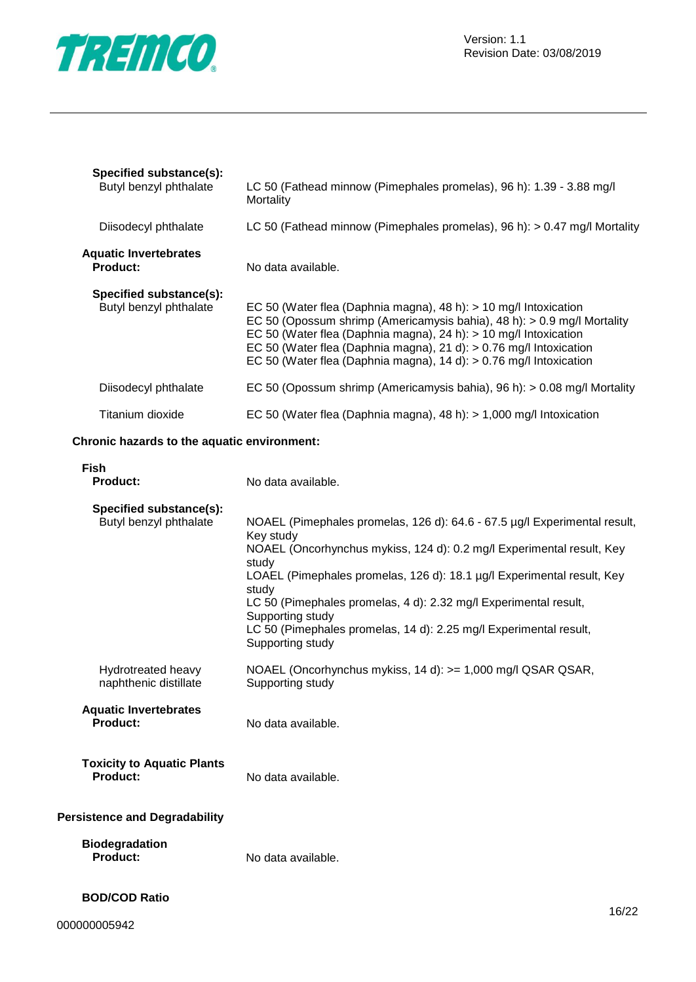

| Specified substance(s):<br>Butyl benzyl phthalate | LC 50 (Fathead minnow (Pimephales promelas), 96 h): 1.39 - 3.88 mg/l<br>Mortality                                                                                                                                                                                                                                                                                                                                                            |  |
|---------------------------------------------------|----------------------------------------------------------------------------------------------------------------------------------------------------------------------------------------------------------------------------------------------------------------------------------------------------------------------------------------------------------------------------------------------------------------------------------------------|--|
| Diisodecyl phthalate                              | LC 50 (Fathead minnow (Pimephales promelas), 96 h): > 0.47 mg/l Mortality                                                                                                                                                                                                                                                                                                                                                                    |  |
| <b>Aquatic Invertebrates</b><br><b>Product:</b>   | No data available.                                                                                                                                                                                                                                                                                                                                                                                                                           |  |
| Specified substance(s):<br>Butyl benzyl phthalate | EC 50 (Water flea (Daphnia magna), 48 h): $> 10$ mg/l Intoxication<br>EC 50 (Opossum shrimp (Americamysis bahia), 48 h): > 0.9 mg/l Mortality<br>EC 50 (Water flea (Daphnia magna), 24 h): > 10 mg/l Intoxication<br>EC 50 (Water flea (Daphnia magna), 21 d): > 0.76 mg/l Intoxication<br>EC 50 (Water flea (Daphnia magna), $14 d$ ): $> 0.76$ mg/l Intoxication                                                                           |  |
| Diisodecyl phthalate                              | EC 50 (Opossum shrimp (Americamysis bahia), 96 h): > 0.08 mg/l Mortality                                                                                                                                                                                                                                                                                                                                                                     |  |
| Titanium dioxide                                  | EC 50 (Water flea (Daphnia magna), 48 h): > 1,000 mg/l Intoxication                                                                                                                                                                                                                                                                                                                                                                          |  |
| Chronic hazards to the aquatic environment:       |                                                                                                                                                                                                                                                                                                                                                                                                                                              |  |
| <b>Fish</b><br>Product:                           | No data available.                                                                                                                                                                                                                                                                                                                                                                                                                           |  |
| Specified substance(s):<br>Butyl benzyl phthalate | NOAEL (Pimephales promelas, 126 d): 64.6 - 67.5 µg/l Experimental result,<br>Key study<br>NOAEL (Oncorhynchus mykiss, 124 d): 0.2 mg/l Experimental result, Key<br>study<br>LOAEL (Pimephales promelas, 126 d): 18.1 µg/l Experimental result, Key<br>study<br>LC 50 (Pimephales promelas, 4 d): 2.32 mg/l Experimental result,<br>Supporting study<br>LC 50 (Pimephales promelas, 14 d): 2.25 mg/l Experimental result,<br>Supporting study |  |
| Hydrotreated heavy<br>naphthenic distillate       | NOAEL (Oncorhynchus mykiss, 14 d): >= 1,000 mg/l QSAR QSAR,<br>Supporting study                                                                                                                                                                                                                                                                                                                                                              |  |
| <b>Aquatic Invertebrates</b>                      |                                                                                                                                                                                                                                                                                                                                                                                                                                              |  |

## **Product:** No data available.

| <b>Toxicity to Aquatic Plants</b> |                    |
|-----------------------------------|--------------------|
| <b>Product:</b>                   | No data available. |

#### **Persistence and Degradability**

| <b>Biodegradation</b> |                    |
|-----------------------|--------------------|
| <b>Product:</b>       | No data available. |

#### **BOD/COD Ratio**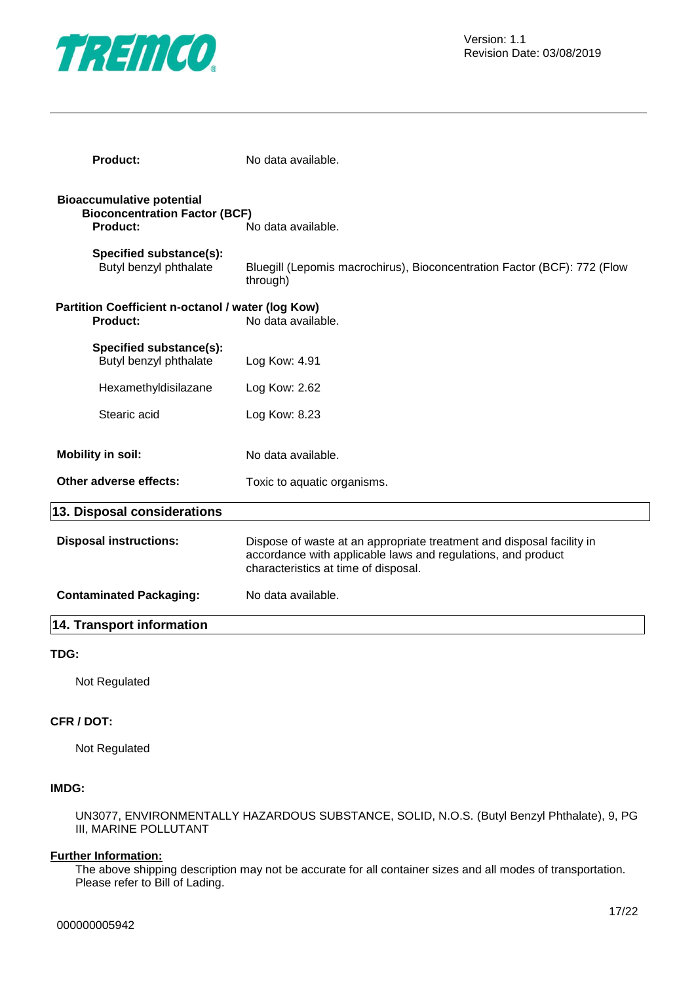

| <b>Product:</b>                                                                             | No data available.                                                                                                                                                            |  |  |  |
|---------------------------------------------------------------------------------------------|-------------------------------------------------------------------------------------------------------------------------------------------------------------------------------|--|--|--|
| <b>Bioaccumulative potential</b><br><b>Bioconcentration Factor (BCF)</b><br><b>Product:</b> | No data available.                                                                                                                                                            |  |  |  |
| Specified substance(s):<br>Butyl benzyl phthalate                                           | Bluegill (Lepomis macrochirus), Bioconcentration Factor (BCF): 772 (Flow<br>through)                                                                                          |  |  |  |
| Partition Coefficient n-octanol / water (log Kow)<br><b>Product:</b>                        | No data available.                                                                                                                                                            |  |  |  |
| Specified substance(s):<br>Butyl benzyl phthalate                                           | Log Kow: 4.91                                                                                                                                                                 |  |  |  |
| Hexamethyldisilazane                                                                        | Log Kow: 2.62                                                                                                                                                                 |  |  |  |
| Stearic acid                                                                                | Log Kow: 8.23                                                                                                                                                                 |  |  |  |
| <b>Mobility in soil:</b>                                                                    | No data available.                                                                                                                                                            |  |  |  |
| Other adverse effects:                                                                      | Toxic to aquatic organisms.                                                                                                                                                   |  |  |  |
| 13. Disposal considerations                                                                 |                                                                                                                                                                               |  |  |  |
| <b>Disposal instructions:</b>                                                               | Dispose of waste at an appropriate treatment and disposal facility in<br>accordance with applicable laws and regulations, and product<br>characteristics at time of disposal. |  |  |  |
| <b>Contaminated Packaging:</b>                                                              | No data available.                                                                                                                                                            |  |  |  |
| <b>14. Transport information</b>                                                            |                                                                                                                                                                               |  |  |  |
|                                                                                             |                                                                                                                                                                               |  |  |  |

#### **TDG:**

Not Regulated

#### **CFR / DOT:**

Not Regulated

#### **IMDG:**

UN3077, ENVIRONMENTALLY HAZARDOUS SUBSTANCE, SOLID, N.O.S. (Butyl Benzyl Phthalate), 9, PG III, MARINE POLLUTANT

#### **Further Information:**

The above shipping description may not be accurate for all container sizes and all modes of transportation. Please refer to Bill of Lading.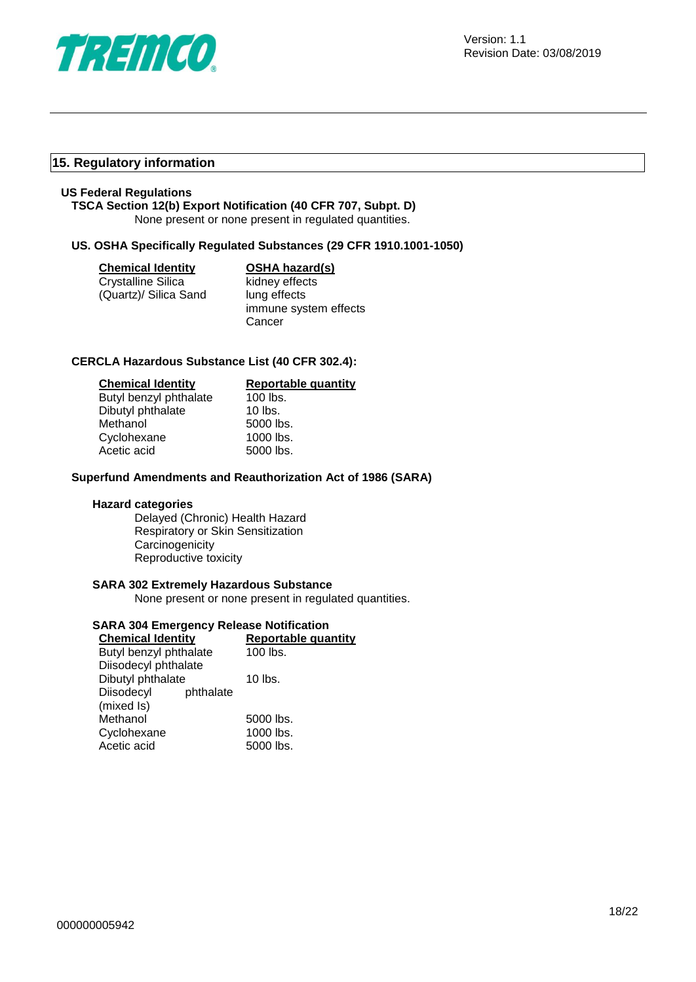

#### **15. Regulatory information**

#### **US Federal Regulations**

#### **TSCA Section 12(b) Export Notification (40 CFR 707, Subpt. D)**

None present or none present in regulated quantities.

#### **US. OSHA Specifically Regulated Substances (29 CFR 1910.1001-1050)**

| Chemical Identity |  |
|-------------------|--|
|                   |  |

Crystalline Silica (Quartz)/ Silica Sand

## **OSHA hazard(s)**

kidney effects lung effects immune system effects **Cancer** 

#### **CERCLA Hazardous Substance List (40 CFR 302.4):**

| <b>Chemical Identity</b> | Reportable quantity |
|--------------------------|---------------------|
| Butyl benzyl phthalate   | 100 lbs.            |
| Dibutyl phthalate        | $10$ lbs.           |
| Methanol                 | 5000 lbs.           |
| Cyclohexane              | 1000 lbs.           |
| Acetic acid              | 5000 lbs.           |

#### **Superfund Amendments and Reauthorization Act of 1986 (SARA)**

#### **Hazard categories**

Delayed (Chronic) Health Hazard Respiratory or Skin Sensitization **Carcinogenicity** Reproductive toxicity

#### **SARA 302 Extremely Hazardous Substance**

None present or none present in regulated quantities.

#### **SARA 304 Emergency Release Notification**

| <b>Chemical Identity</b> | <b>Reportable quantity</b> |
|--------------------------|----------------------------|
| Butyl benzyl phthalate   | 100 lbs.                   |
| Diisodecyl phthalate     |                            |
| Dibutyl phthalate        | $10$ lbs.                  |
| Diisodecyl<br>phthalate  |                            |
| (mixed Is)               |                            |
| Methanol                 | 5000 lbs.                  |
| Cyclohexane              | 1000 lbs.                  |
| Acetic acid              | 5000 lbs.                  |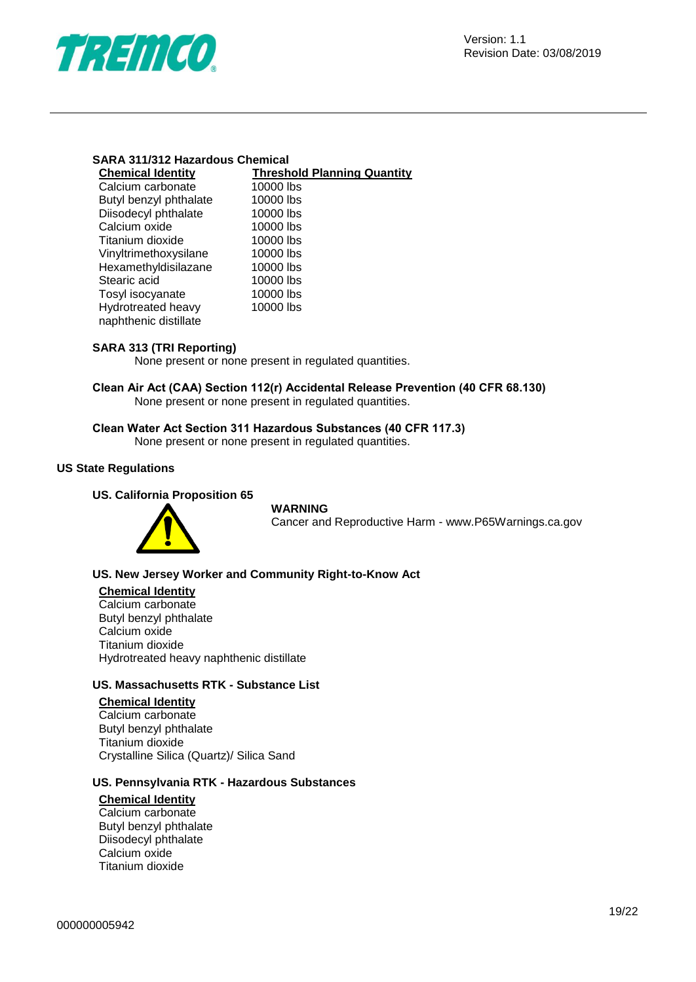

#### **SARA 311/312 Hazardous Chemical**

| <b>Chemical Identity</b> | <b>Threshold Planning Quantity</b> |
|--------------------------|------------------------------------|
| Calcium carbonate        | 10000 lbs                          |
| Butyl benzyl phthalate   | 10000 lbs                          |
| Diisodecyl phthalate     | 10000 lbs                          |
| Calcium oxide            | 10000 lbs                          |
| Titanium dioxide         | 10000 lbs                          |
| Vinyltrimethoxysilane    | 10000 lbs                          |
| Hexamethyldisilazane     | 10000 lbs                          |
| Stearic acid             | 10000 lbs                          |
| Tosyl isocyanate         | 10000 lbs                          |
| Hydrotreated heavy       | 10000 lbs                          |
| naphthenic distillate    |                                    |
|                          |                                    |

#### **SARA 313 (TRI Reporting)**

None present or none present in regulated quantities.

**Clean Air Act (CAA) Section 112(r) Accidental Release Prevention (40 CFR 68.130)** None present or none present in regulated quantities.

#### **Clean Water Act Section 311 Hazardous Substances (40 CFR 117.3)**

None present or none present in regulated quantities.

#### **US State Regulations**

#### **US. California Proposition 65**



#### **WARNING**

Cancer and Reproductive Harm - www.P65Warnings.ca.gov

#### **US. New Jersey Worker and Community Right-to-Know Act**

#### **Chemical Identity**

Calcium carbonate Butyl benzyl phthalate Calcium oxide Titanium dioxide Hydrotreated heavy naphthenic distillate

#### **US. Massachusetts RTK - Substance List**

#### **Chemical Identity**

Calcium carbonate Butyl benzyl phthalate Titanium dioxide Crystalline Silica (Quartz)/ Silica Sand

#### **US. Pennsylvania RTK - Hazardous Substances**

#### **Chemical Identity**

Calcium carbonate Butyl benzyl phthalate Diisodecyl phthalate Calcium oxide Titanium dioxide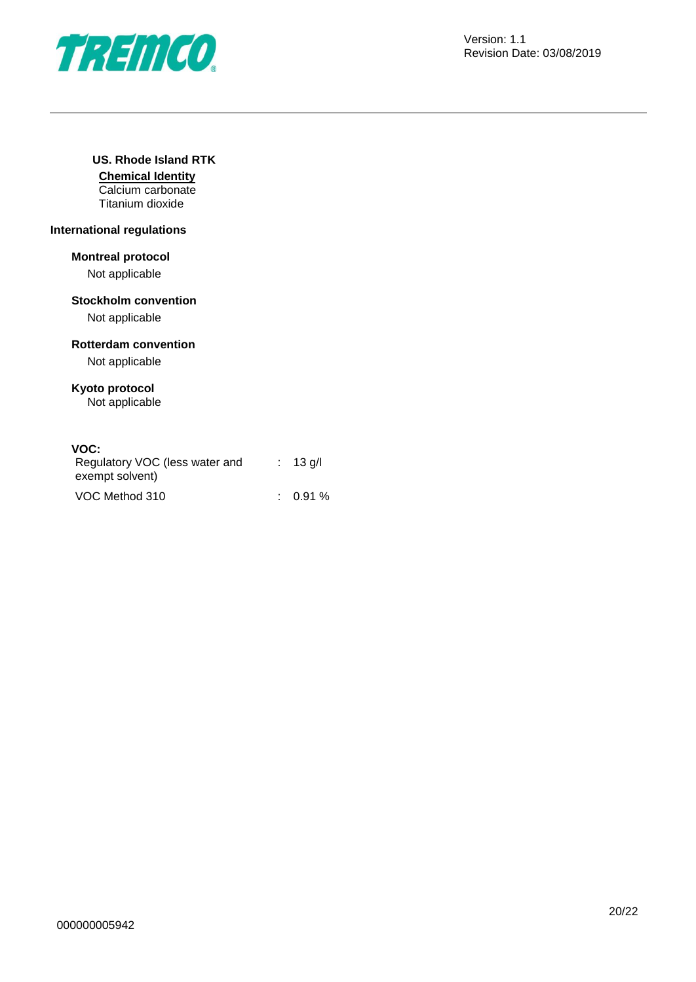

#### **US. Rhode Island RTK**

**Chemical Identity** Calcium carbonate Titanium dioxide

#### **International regulations**

#### **Montreal protocol**

Not applicable

#### **Stockholm convention**

Not applicable

#### **Rotterdam convention**

Not applicable

#### **Kyoto protocol**

Not applicable

#### **VOC:**

| Regulatory VOC (less water and<br>exempt solvent) | $\therefore$ 13 g/l |
|---------------------------------------------------|---------------------|
| VOC Method 310                                    | $0.91\%$            |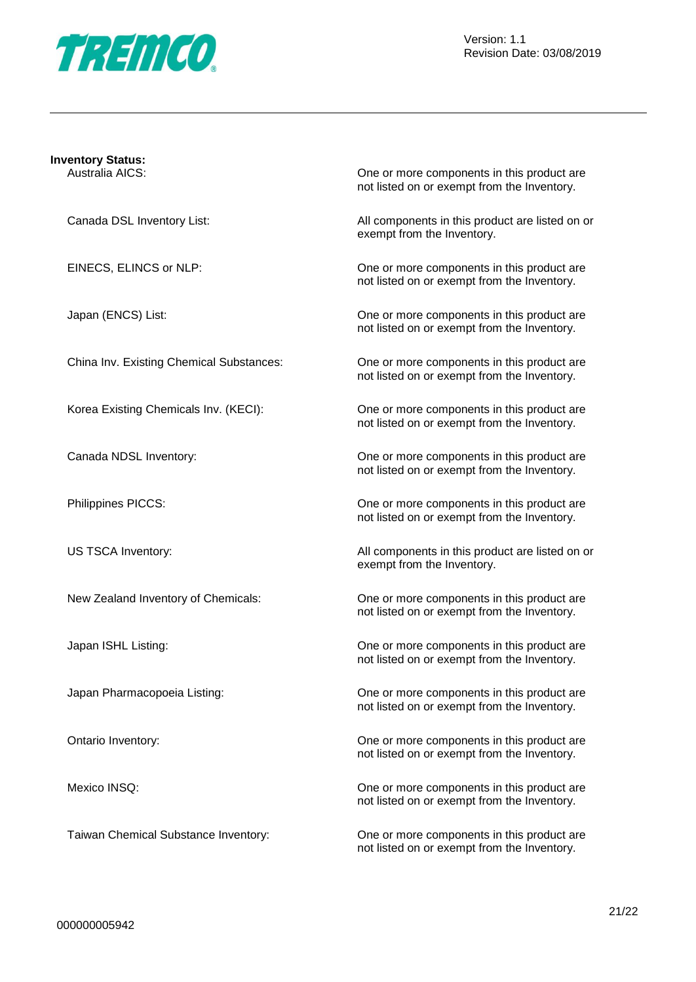

|  |  | <b>Inventory Status:</b> |  |
|--|--|--------------------------|--|
|  |  |                          |  |

Australia AICS: One or more components in this product are not listed on or exempt from the Inventory.

Canada DSL Inventory List: All components in this product are listed on or exempt from the Inventory.

EINECS, ELINCS or NLP: One or more components in this product are not listed on or exempt from the Inventory.

Japan (ENCS) List: One or more components in this product are not listed on or exempt from the Inventory.

China Inv. Existing Chemical Substances: One or more components in this product are not listed on or exempt from the Inventory.

Korea Existing Chemicals Inv. (KECI): One or more components in this product are not listed on or exempt from the Inventory.

Canada NDSL Inventory: One or more components in this product are not listed on or exempt from the Inventory.

Philippines PICCS: One or more components in this product are not listed on or exempt from the Inventory.

US TSCA Inventory: All components in this product are listed on or exempt from the Inventory.

New Zealand Inventory of Chemicals: One or more components in this product are not listed on or exempt from the Inventory.

Japan ISHL Listing: One or more components in this product are not listed on or exempt from the Inventory.

Japan Pharmacopoeia Listing: One or more components in this product are not listed on or exempt from the Inventory.

Ontario Inventory: One or more components in this product are not listed on or exempt from the Inventory.

Mexico INSQ: Conservation of the Cone of More components in this product are not listed on or exempt from the Inventory.

Taiwan Chemical Substance Inventory: One or more components in this product are not listed on or exempt from the Inventory.